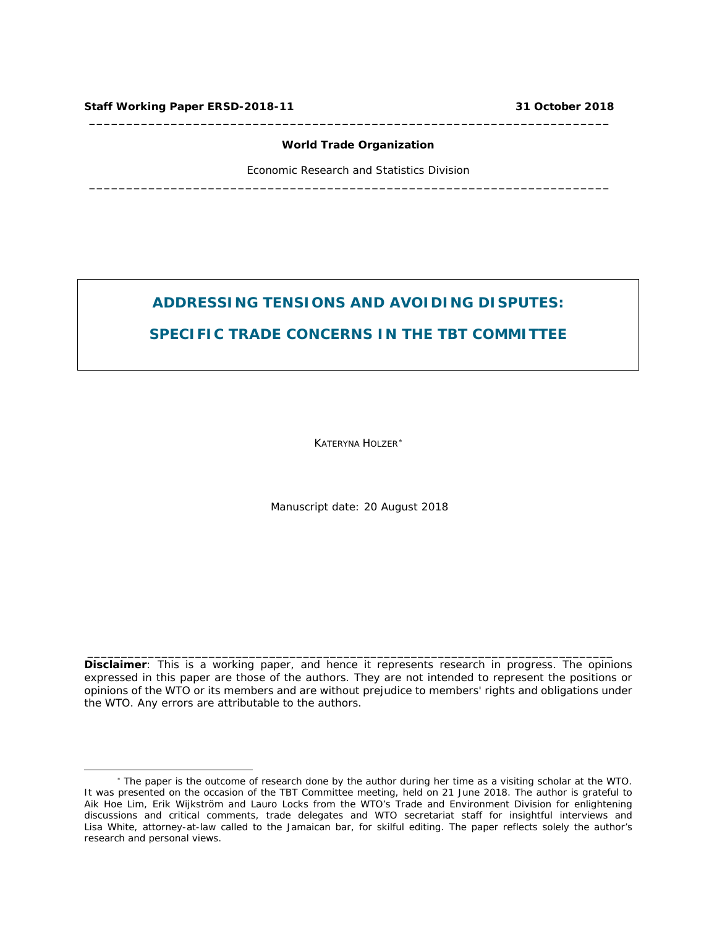i,

#### **World Trade Organization**

**\_\_\_\_\_\_\_\_\_\_\_\_\_\_\_\_\_\_\_\_\_\_\_\_\_\_\_\_\_\_\_\_\_\_\_\_\_\_\_\_\_\_\_\_\_\_\_\_\_\_\_\_\_\_\_\_\_\_\_\_\_\_\_\_\_\_\_\_\_\_**

**\_\_\_\_\_\_\_\_\_\_\_\_\_\_\_\_\_\_\_\_\_\_\_\_\_\_\_\_\_\_\_\_\_\_\_\_\_\_\_\_\_\_\_\_\_\_\_\_\_\_\_\_\_\_\_\_\_\_\_\_\_\_\_\_\_\_\_\_\_\_**

Economic Research and Statistics Division

# **ADDRESSING TENSIONS AND AVOIDING DISPUTES:**

# **SPECIFIC TRADE CONCERNS IN THE TBT COMMITTEE**

KATERYNA HOLZER[∗](#page-0-0)

*Manuscript date: 20 August 2018*

**Disclaimer**: This is a working paper, and hence it represents research in progress. The opinions expressed in this paper are those of the authors. They are not intended to represent the positions or opinions of the WTO or its members and are without prejudice to members' rights and obligations under the WTO. Any errors are attributable to the authors.

\_\_\_\_\_\_\_\_\_\_\_\_\_\_\_\_\_\_\_\_\_\_\_\_\_\_\_\_\_\_\_\_\_\_\_\_\_\_\_\_\_\_\_\_\_\_\_\_\_\_\_\_\_\_\_\_\_\_\_\_\_\_\_\_\_\_\_\_\_\_\_\_\_\_\_\_\_\_

<span id="page-0-0"></span><sup>∗</sup> The paper is the outcome of research done by the author during her time as a visiting scholar at the WTO. It was presented on the occasion of the TBT Committee meeting, held on 21 June 2018. The author is grateful to Aik Hoe Lim, Erik Wijkström and Lauro Locks from the WTO's Trade and Environment Division for enlightening discussions and critical comments, trade delegates and WTO secretariat staff for insightful interviews and Lisa White, attorney-at-law called to the Jamaican bar, for skilful editing. The paper reflects solely the author's research and personal views.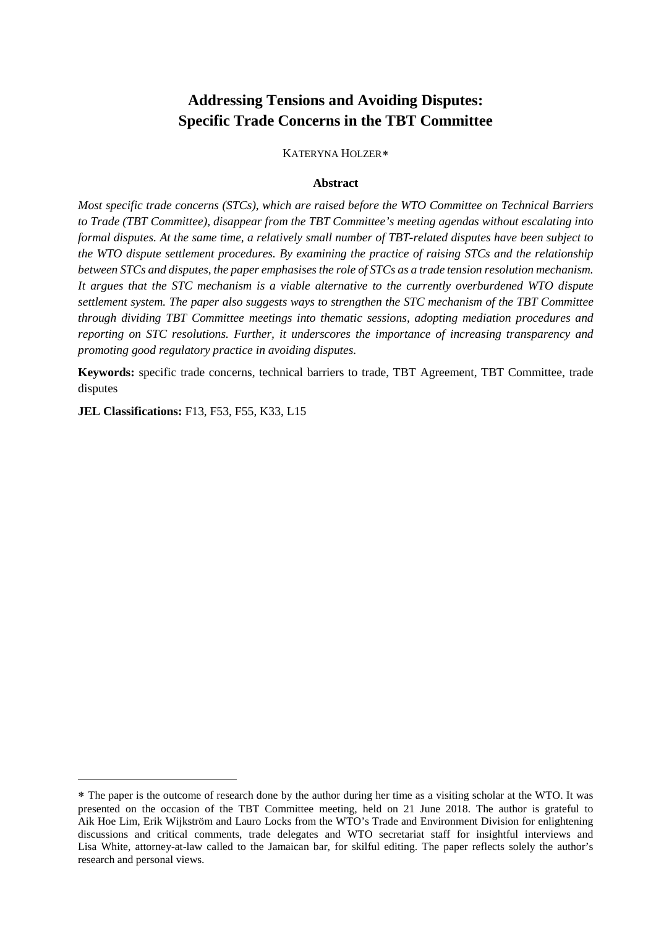# **Addressing Tensions and Avoiding Disputes: Specific Trade Concerns in the TBT Committee**

KATERYNA HOLZER[∗](#page-1-0)

#### **Abstract**

*Most specific trade concerns (STCs), which are raised before the WTO Committee on Technical Barriers to Trade (TBT Committee), disappear from the TBT Committee's meeting agendas without escalating into formal disputes. At the same time, a relatively small number of TBT-related disputes have been subject to the WTO dispute settlement procedures. By examining the practice of raising STCs and the relationship between STCs and disputes, the paper emphasises the role of STCs as a trade tension resolution mechanism. It argues that the STC mechanism is a viable alternative to the currently overburdened WTO dispute settlement system. The paper also suggests ways to strengthen the STC mechanism of the TBT Committee through dividing TBT Committee meetings into thematic sessions, adopting mediation procedures and reporting on STC resolutions. Further, it underscores the importance of increasing transparency and promoting good regulatory practice in avoiding disputes.* 

**Keywords:** specific trade concerns, technical barriers to trade, TBT Agreement, TBT Committee, trade disputes

**JEL Classifications:** F13, F53, F55, K33, L15

<span id="page-1-0"></span><sup>∗</sup> The paper is the outcome of research done by the author during her time as a visiting scholar at the WTO. It was presented on the occasion of the TBT Committee meeting, held on 21 June 2018. The author is grateful to Aik Hoe Lim, Erik Wijkström and Lauro Locks from the WTO's Trade and Environment Division for enlightening discussions and critical comments, trade delegates and WTO secretariat staff for insightful interviews and Lisa White, attorney-at-law called to the Jamaican bar, for skilful editing. The paper reflects solely the author's research and personal views.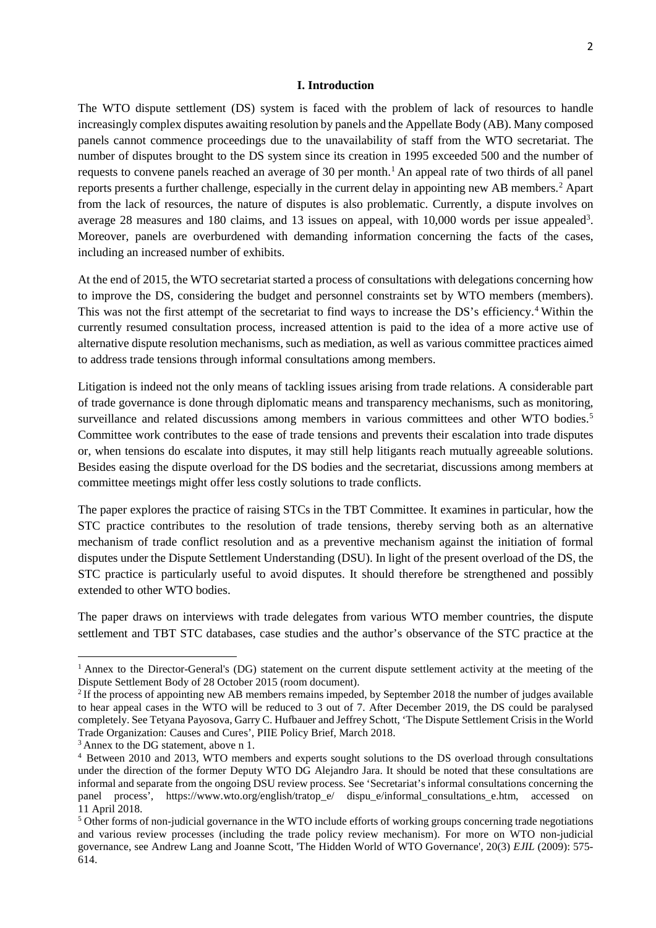#### **I. Introduction**

The WTO dispute settlement (DS) system is faced with the problem of lack of resources to handle increasingly complex disputes awaiting resolution by panels and the Appellate Body (AB). Many composed panels cannot commence proceedings due to the unavailability of staff from the WTO secretariat. The number of disputes brought to the DS system since its creation in 1995 exceeded 500 and the number of requests to convene panels reached an average of 30 per month.<sup>[1](#page-2-0)</sup> An appeal rate of two thirds of all panel reports presents a further challenge, especially in the current delay in appointing new AB members[.2](#page-2-1) Apart from the lack of resources, the nature of disputes is also problematic. Currently, a dispute involves on average 28 measures and 180 claims, and 13 issues on appeal, with  $10,000$  words per issue appealed<sup>3</sup>. Moreover, panels are overburdened with demanding information concerning the facts of the cases, including an increased number of exhibits.

At the end of 2015, the WTO secretariat started a process of consultations with delegations concerning how to improve the DS, considering the budget and personnel constraints set by WTO members (members). This was not the first attempt of the secretariat to find ways to increase the DS's efficiency. [4](#page-2-3) Within the currently resumed consultation process, increased attention is paid to the idea of a more active use of alternative dispute resolution mechanisms, such as mediation, as well as various committee practices aimed to address trade tensions through informal consultations among members.

Litigation is indeed not the only means of tackling issues arising from trade relations. A considerable part of trade governance is done through diplomatic means and transparency mechanisms, such as monitoring, surveillance and related discussions among members in various committees and other WTO bodies.<sup>[5](#page-2-4)</sup> Committee work contributes to the ease of trade tensions and prevents their escalation into trade disputes or, when tensions do escalate into disputes, it may still help litigants reach mutually agreeable solutions. Besides easing the dispute overload for the DS bodies and the secretariat, discussions among members at committee meetings might offer less costly solutions to trade conflicts.

The paper explores the practice of raising STCs in the TBT Committee. It examines in particular, how the STC practice contributes to the resolution of trade tensions, thereby serving both as an alternative mechanism of trade conflict resolution and as a preventive mechanism against the initiation of formal disputes under the Dispute Settlement Understanding (DSU). In light of the present overload of the DS, the STC practice is particularly useful to avoid disputes. It should therefore be strengthened and possibly extended to other WTO bodies.

The paper draws on interviews with trade delegates from various WTO member countries, the dispute settlement and TBT STC databases, case studies and the author's observance of the STC practice at the

<span id="page-2-0"></span><sup>&</sup>lt;sup>1</sup> Annex to the Director-General's (DG) statement on the current dispute settlement activity at the meeting of the Dispute Settlement Body of 28 October 2015 (room document).

<span id="page-2-1"></span><sup>&</sup>lt;sup>2</sup> If the process of appointing new AB members remains impeded, by September 2018 the number of judges available to hear appeal cases in the WTO will be reduced to 3 out of 7. After December 2019, the DS could be paralysed completely. See Tetyana Payosova, Garry C. Hufbauer and Jeffrey Schott, 'The Dispute Settlement Crisis in the World Trade Organization: Causes and Cures', PIIE Policy Brief, March 2018.

<span id="page-2-2"></span><sup>&</sup>lt;sup>3</sup> Annex to the DG statement, above n 1.

<span id="page-2-3"></span><sup>4</sup> Between 2010 and 2013, WTO members and experts sought solutions to the DS overload through consultations under the direction of the former Deputy WTO DG Alejandro Jara. It should be noted that these consultations are informal and separate from the ongoing DSU review process. See 'Secretariat's informal consultations concerning the panel process', https://www.wto.org/english/tratop\_e/ dispu\_e/informal\_consultations\_e.htm, accessed on 11 April 2018.

<span id="page-2-4"></span><sup>5</sup> Other forms of non-judicial governance in the WTO include efforts of working groups concerning trade negotiations and various review processes (including the trade policy review mechanism). For more on WTO non-judicial governance, see Andrew Lang and Joanne Scott, 'The Hidden World of WTO Governance', 20(3) *EJIL* (2009): 575- 614.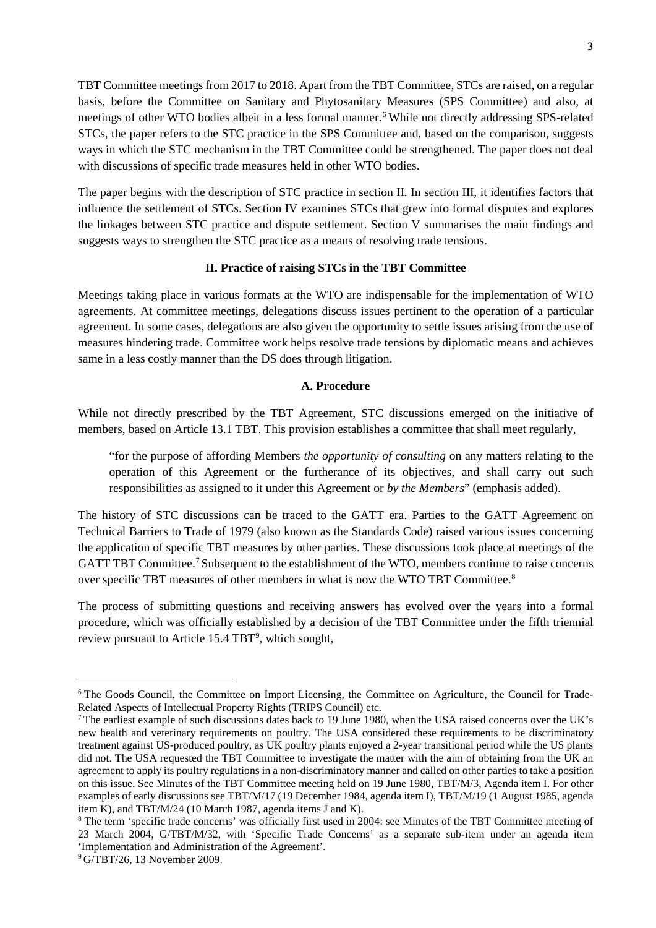TBT Committee meetings from 2017 to 2018. Apart from the TBT Committee, STCs are raised, on a regular basis, before the Committee on Sanitary and Phytosanitary Measures (SPS Committee) and also, at meetings of other WTO bodies albeit in a less formal manner. [6](#page-3-0) While not directly addressing SPS-related STCs, the paper refers to the STC practice in the SPS Committee and, based on the comparison, suggests ways in which the STC mechanism in the TBT Committee could be strengthened. The paper does not deal with discussions of specific trade measures held in other WTO bodies.

The paper begins with the description of STC practice in section II. In section III, it identifies factors that influence the settlement of STCs. Section IV examines STCs that grew into formal disputes and explores the linkages between STC practice and dispute settlement. Section V summarises the main findings and suggests ways to strengthen the STC practice as a means of resolving trade tensions.

#### **II. Practice of raising STCs in the TBT Committee**

Meetings taking place in various formats at the WTO are indispensable for the implementation of WTO agreements. At committee meetings, delegations discuss issues pertinent to the operation of a particular agreement. In some cases, delegations are also given the opportunity to settle issues arising from the use of measures hindering trade. Committee work helps resolve trade tensions by diplomatic means and achieves same in a less costly manner than the DS does through litigation.

#### **A. Procedure**

While not directly prescribed by the TBT Agreement, STC discussions emerged on the initiative of members, based on Article 13.1 TBT. This provision establishes a committee that shall meet regularly,

"for the purpose of affording Members *the opportunity of consulting* on any matters relating to the operation of this Agreement or the furtherance of its objectives, and shall carry out such responsibilities as assigned to it under this Agreement or *by the Members*" (emphasis added).

The history of STC discussions can be traced to the GATT era. Parties to the GATT Agreement on Technical Barriers to Trade of 1979 (also known as the Standards Code) raised various issues concerning the application of specific TBT measures by other parties. These discussions took place at meetings of the GATT TBT Committee. [7](#page-3-1) Subsequent to the establishment of the WTO, members continue to raise concerns over specific TBT measures of other members in what is now the WTO TBT Committee[.8](#page-3-2)

The process of submitting questions and receiving answers has evolved over the years into a formal procedure, which was officially established by a decision of the TBT Committee under the fifth triennial review pursuant to Article 15.4 TBT<sup>[9](#page-3-3)</sup>, which sought,

<span id="page-3-0"></span><sup>&</sup>lt;sup>6</sup> The Goods Council, the Committee on Import Licensing, the Committee on Agriculture, the Council for Trade-Related Aspects of Intellectual Property Rights (TRIPS Council) etc.

<span id="page-3-1"></span><sup>&</sup>lt;sup>7</sup> The earliest example of such discussions dates back to 19 June 1980, when the USA raised concerns over the UK's new health and veterinary requirements on poultry. The USA considered these requirements to be discriminatory treatment against US-produced poultry, as UK poultry plants enjoyed a 2-year transitional period while the US plants did not. The USA requested the TBT Committee to investigate the matter with the aim of obtaining from the UK an agreement to apply its poultry regulations in a non-discriminatory manner and called on other parties to take a position on this issue. See Minutes of the TBT Committee meeting held on 19 June 1980, TBT/M/3, Agenda item I. For other examples of early discussions see TBT/M/17 (19 December 1984, agenda item I), TBT/M/19 (1 August 1985, agenda item K), and TBT/M/24 (10 March 1987, agenda items J and K).

<span id="page-3-2"></span><sup>8</sup> The term 'specific trade concerns' was officially first used in 2004: see Minutes of the TBT Committee meeting of 23 March 2004, G/TBT/M/32, with 'Specific Trade Concerns' as a separate sub-item under an agenda item 'Implementation and Administration of the Agreement'.

<span id="page-3-3"></span><sup>9</sup> G/TBT/26, 13 November 2009.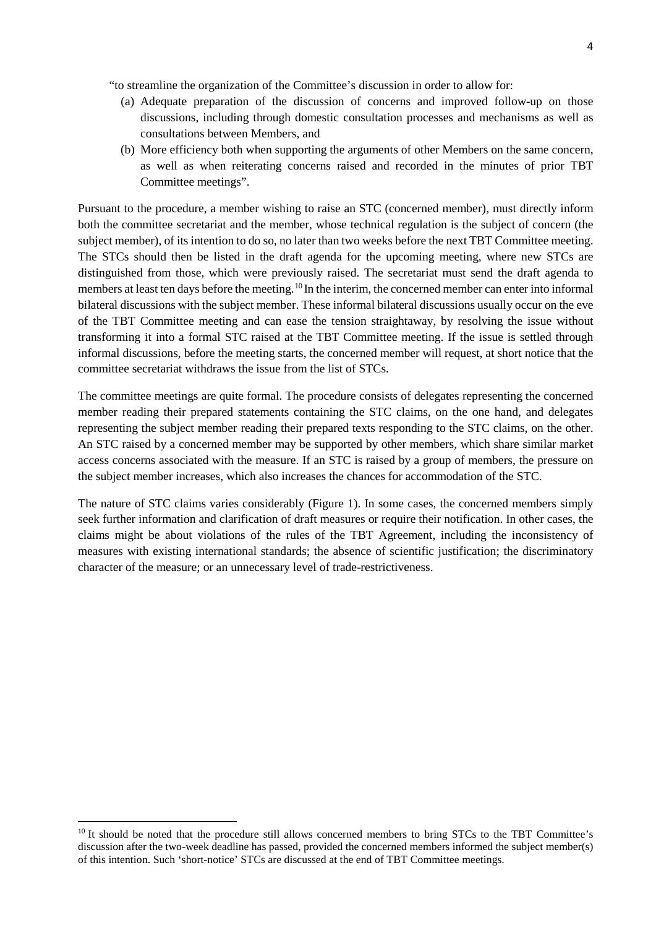"to streamline the organization of the Committee's discussion in order to allow for:

- (a) Adequate preparation of the discussion of concerns and improved follow-up on those discussions, including through domestic consultation processes and mechanisms as well as consultations between Members, and
- (b) More efficiency both when supporting the arguments of other Members on the same concern, as well as when reiterating concerns raised and recorded in the minutes of prior TBT Committee meetings".

Pursuant to the procedure, a member wishing to raise an STC (concerned member), must directly inform both the committee secretariat and the member, whose technical regulation is the subject of concern (the subject member), of its intention to do so, no later than two weeks before the next TBT Committee meeting. The STCs should then be listed in the draft agenda for the upcoming meeting, where new STCs are distinguished from those, which were previously raised. The secretariat must send the draft agenda to members at least ten days before the meeting.<sup>[10](#page-4-0)</sup> In the interim, the concerned member can enter into informal bilateral discussions with the subject member. These informal bilateral discussions usually occur on the eve of the TBT Committee meeting and can ease the tension straightaway, by resolving the issue without transforming it into a formal STC raised at the TBT Committee meeting. If the issue is settled through informal discussions, before the meeting starts, the concerned member will request, at short notice that the committee secretariat withdraws the issue from the list of STCs.

The committee meetings are quite formal. The procedure consists of delegates representing the concerned member reading their prepared statements containing the STC claims, on the one hand, and delegates representing the subject member reading their prepared texts responding to the STC claims, on the other. An STC raised by a concerned member may be supported by other members, which share similar market access concerns associated with the measure. If an STC is raised by a group of members, the pressure on the subject member increases, which also increases the chances for accommodation of the STC.

The nature of STC claims varies considerably (Figure 1). In some cases, the concerned members simply seek further information and clarification of draft measures or require their notification. In other cases, the claims might be about violations of the rules of the TBT Agreement, including the inconsistency of measures with existing international standards; the absence of scientific justification; the discriminatory character of the measure; or an unnecessary level of trade-restrictiveness.

<span id="page-4-0"></span><sup>&</sup>lt;sup>10</sup> It should be noted that the procedure still allows concerned members to bring STCs to the TBT Committee's discussion after the two-week deadline has passed, provided the concerned members informed the subject member(s) of this intention. Such 'short-notice' STCs are discussed at the end of TBT Committee meetings.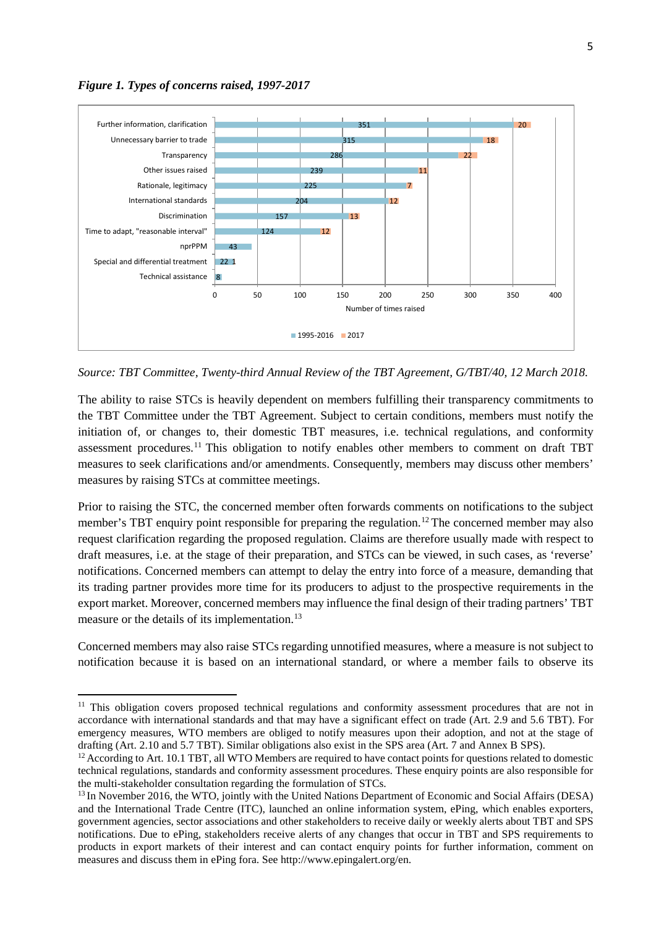

l



*Source: TBT Committee, Twenty-third Annual Review of the TBT Agreement, G/TBT/40, 12 March 2018.*

The ability to raise STCs is heavily dependent on members fulfilling their transparency commitments to the TBT Committee under the TBT Agreement. Subject to certain conditions, members must notify the initiation of, or changes to, their domestic TBT measures, i.e. technical regulations, and conformity assessment procedures.<sup>[11](#page-5-0)</sup> This obligation to notify enables other members to comment on draft TBT measures to seek clarifications and/or amendments. Consequently, members may discuss other members' measures by raising STCs at committee meetings.

Prior to raising the STC, the concerned member often forwards comments on notifications to the subject member's TBT enquiry point responsible for preparing the regulation.<sup>[12](#page-5-1)</sup> The concerned member may also request clarification regarding the proposed regulation. Claims are therefore usually made with respect to draft measures, i.e. at the stage of their preparation, and STCs can be viewed, in such cases, as 'reverse' notifications. Concerned members can attempt to delay the entry into force of a measure, demanding that its trading partner provides more time for its producers to adjust to the prospective requirements in the export market. Moreover, concerned members may influence the final design of their trading partners' TBT measure or the details of its implementation.<sup>[13](#page-5-2)</sup>

Concerned members may also raise STCs regarding unnotified measures, where a measure is not subject to notification because it is based on an international standard, or where a member fails to observe its

<span id="page-5-0"></span><sup>&</sup>lt;sup>11</sup> This obligation covers proposed technical regulations and conformity assessment procedures that are not in accordance with international standards and that may have a significant effect on trade (Art. 2.9 and 5.6 TBT). For emergency measures, WTO members are obliged to notify measures upon their adoption, and not at the stage of drafting (Art. 2.10 and 5.7 TBT). Similar obligations also exist in the SPS area (Art. 7 and Annex B SPS).

<span id="page-5-1"></span> $12$  According to Art. 10.1 TBT, all WTO Members are required to have contact points for questions related to domestic technical regulations, standards and conformity assessment procedures. These enquiry points are also responsible for the multi-stakeholder consultation regarding the formulation of STCs.

<span id="page-5-2"></span><sup>&</sup>lt;sup>13</sup> In November 2016, the WTO, jointly with the United Nations Department of Economic and Social Affairs (DESA) and the International Trade Centre (ITC), launched an online information system, ePing, which enables exporters, government agencies, sector associations and other stakeholders to receive daily or weekly alerts about TBT and SPS notifications. Due to ePing, stakeholders receive alerts of any changes that occur in TBT and SPS requirements to products in export markets of their interest and can contact enquiry points for further information, comment on measures and discuss them in ePing fora. See http://www.epingalert.org/en.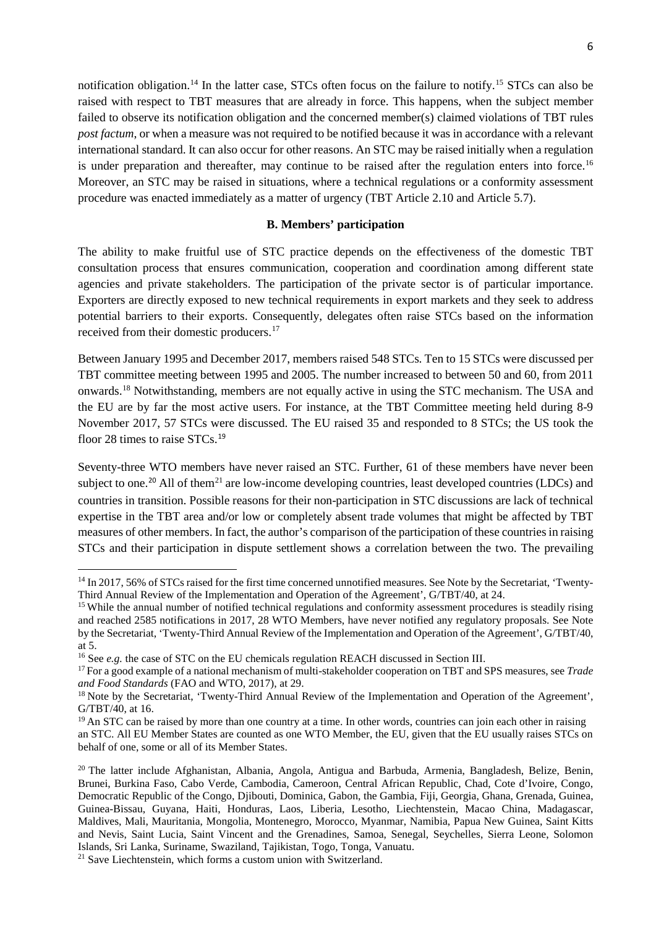notification obligation.<sup>[14](#page-6-0)</sup> In the latter case, STCs often focus on the failure to notify.<sup>[15](#page-6-1)</sup> STCs can also be raised with respect to TBT measures that are already in force. This happens, when the subject member failed to observe its notification obligation and the concerned member(s) claimed violations of TBT rules *post factum*, or when a measure was not required to be notified because it was in accordance with a relevant international standard. It can also occur for other reasons. An STC may be raised initially when a regulation is under preparation and thereafter, may continue to be raised after the regulation enters into force.<sup>[16](#page-6-2)</sup> Moreover, an STC may be raised in situations, where a technical regulations or a conformity assessment procedure was enacted immediately as a matter of urgency (TBT Article 2.10 and Article 5.7).

#### **B. Members' participation**

The ability to make fruitful use of STC practice depends on the effectiveness of the domestic TBT consultation process that ensures communication, cooperation and coordination among different state agencies and private stakeholders. The participation of the private sector is of particular importance. Exporters are directly exposed to new technical requirements in export markets and they seek to address potential barriers to their exports. Consequently, delegates often raise STCs based on the information received from their domestic producers.[17](#page-6-3)

Between January 1995 and December 2017, members raised 548 STCs. Ten to 15 STCs were discussed per TBT committee meeting between 1995 and 2005. The number increased to between 50 and 60, from 2011 onwards. [18](#page-6-4) Notwithstanding, members are not equally active in using the STC mechanism. The USA and the EU are by far the most active users. For instance, at the TBT Committee meeting held during 8-9 November 2017, 57 STCs were discussed. The EU raised 35 and responded to 8 STCs; the US took the floor 28 times to raise STCs.<sup>[19](#page-6-5)</sup>

Seventy-three WTO members have never raised an STC. Further, 61 of these members have never been subject to one.<sup>[20](#page-6-6)</sup> All of them<sup>[21](#page-6-7)</sup> are low-income developing countries, least developed countries (LDCs) and countries in transition. Possible reasons for their non-participation in STC discussions are lack of technical expertise in the TBT area and/or low or completely absent trade volumes that might be affected by TBT measures of other members. In fact, the author's comparison of the participation of these countries in raising STCs and their participation in dispute settlement shows a correlation between the two. The prevailing

<span id="page-6-0"></span><sup>&</sup>lt;sup>14</sup> In 2017, 56% of STCs raised for the first time concerned unnotified measures. See Note by the Secretariat, 'Twenty-Third Annual Review of the Implementation and Operation of the Agreement', G/TBT/40, at 24.

<span id="page-6-1"></span><sup>&</sup>lt;sup>15</sup> While the annual number of notified technical regulations and conformity assessment procedures is steadily rising and reached 2585 notifications in 2017, 28 WTO Members, have never notified any regulatory proposals. See Note by the Secretariat, 'Twenty-Third Annual Review of the Implementation and Operation of the Agreement', G/TBT/40, at 5.

<span id="page-6-2"></span><sup>&</sup>lt;sup>16</sup> See *e.g.* the case of STC on the EU chemicals regulation REACH discussed in Section III.

<span id="page-6-3"></span><sup>17</sup> For a good example of a national mechanism of multi-stakeholder cooperation on TBT and SPS measures, see *Trade and Food Standards* (FAO and WTO, 2017), at 29.<br><sup>18</sup> Note by the Secretariat, 'Twenty-Third Annual Review of the Implementation and Operation of the Agreement',

<span id="page-6-4"></span>G/TBT/40, at 16.

<span id="page-6-5"></span><sup>&</sup>lt;sup>19</sup> An STC can be raised by more than one country at a time. In other words, countries can join each other in raising an STC. All EU Member States are counted as one WTO Member, the EU, given that the EU usually raises STCs on behalf of one, some or all of its Member States.

<span id="page-6-6"></span><sup>20</sup> The latter include Afghanistan, Albania, Angola, Antigua and Barbuda, Armenia, Bangladesh, Belize, Benin, Brunei, Burkina Faso, Cabo Verde, Cambodia, Cameroon, Central African Republic, Chad, Cote d'Ivoire, Congo, Democratic Republic of the Congo, Djibouti, Dominica, Gabon, the Gambia, Fiji, Georgia, Ghana, Grenada, Guinea, Guinea-Bissau, Guyana, Haiti, Honduras, Laos, Liberia, Lesotho, Liechtenstein, Macao China, Madagascar, Maldives, Mali, Mauritania, Mongolia, Montenegro, Morocco, Myanmar, Namibia, Papua New Guinea, Saint Kitts and Nevis, Saint Lucia, Saint Vincent and the Grenadines, Samoa, Senegal, Seychelles, Sierra Leone, Solomon Islands, Sri Lanka, Suriname, Swaziland, Tajikistan, Togo, Tonga, Vanuatu.

<span id="page-6-7"></span><sup>&</sup>lt;sup>21</sup> Save Liechtenstein, which forms a custom union with Switzerland.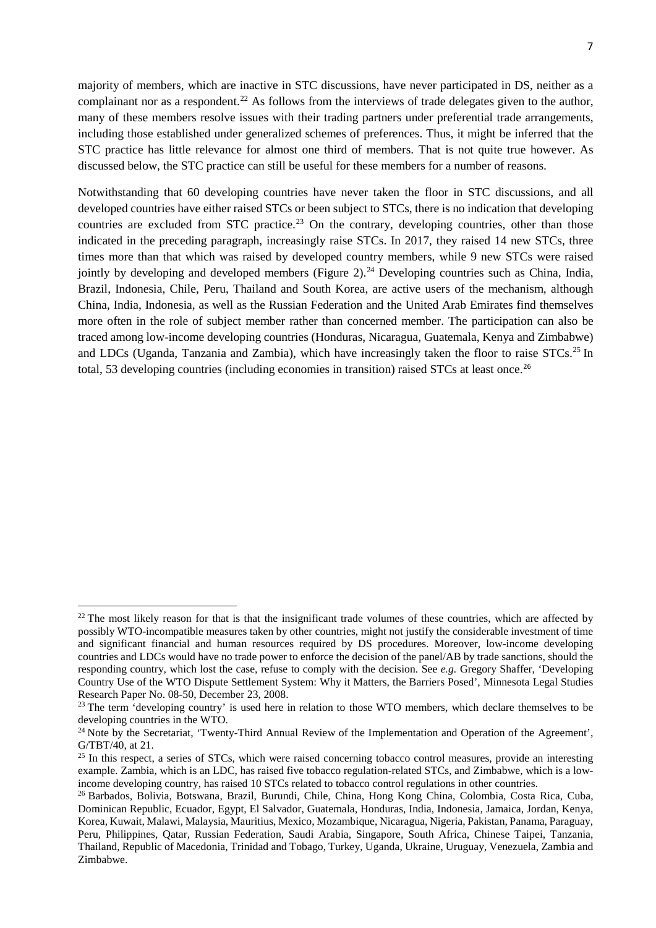majority of members, which are inactive in STC discussions, have never participated in DS, neither as a complainant nor as a respondent.<sup>[22](#page-7-0)</sup> As follows from the interviews of trade delegates given to the author, many of these members resolve issues with their trading partners under preferential trade arrangements, including those established under generalized schemes of preferences. Thus, it might be inferred that the STC practice has little relevance for almost one third of members. That is not quite true however. As discussed below, the STC practice can still be useful for these members for a number of reasons.

Notwithstanding that 60 developing countries have never taken the floor in STC discussions, and all developed countries have either raised STCs or been subject to STCs, there is no indication that developing countries are excluded from STC practice.<sup>[23](#page-7-1)</sup> On the contrary, developing countries, other than those indicated in the preceding paragraph, increasingly raise STCs. In 2017, they raised 14 new STCs, three times more than that which was raised by developed country members, while 9 new STCs were raised jointly by developing and developed members (Figure 2).<sup>[24](#page-7-2)</sup> Developing countries such as China, India, Brazil, Indonesia, Chile, Peru, Thailand and South Korea, are active users of the mechanism, although China, India, Indonesia, as well as the Russian Federation and the United Arab Emirates find themselves more often in the role of subject member rather than concerned member. The participation can also be traced among low-income developing countries (Honduras, Nicaragua, Guatemala, Kenya and Zimbabwe) and LDCs (Uganda, Tanzania and Zambia), which have increasingly taken the floor to raise STCs.<sup>[25](#page-7-3)</sup> In total, 53 developing countries (including economies in transition) raised STCs at least once.<sup>[26](#page-7-4)</sup>

<span id="page-7-0"></span> $22$  The most likely reason for that is that the insignificant trade volumes of these countries, which are affected by possibly WTO-incompatible measures taken by other countries, might not justify the considerable investment of time and significant financial and human resources required by DS procedures. Moreover, low-income developing countries and LDCs would have no trade power to enforce the decision of the panel/AB by trade sanctions, should the responding country, which lost the case, refuse to comply with the decision. See *e.g.* Gregory Shaffer, 'Developing Country Use of the WTO Dispute Settlement System: Why it Matters, the Barriers Posed', Minnesota Legal Studies Research Paper No. 08-50, December 23, 2008.

<span id="page-7-1"></span><sup>&</sup>lt;sup>23</sup> The term 'developing country' is used here in relation to those WTO members, which declare themselves to be developing countries in the WTO.

<span id="page-7-2"></span><sup>&</sup>lt;sup>24</sup> Note by the Secretariat, 'Twenty-Third Annual Review of the Implementation and Operation of the Agreement', G/TBT/40, at 21.

<span id="page-7-3"></span> $25$  In this respect, a series of STCs, which were raised concerning tobacco control measures, provide an interesting example. Zambia, which is an LDC, has raised five tobacco regulation-related STCs, and Zimbabwe, which is a lowincome developing country, has raised 10 STCs related to tobacco control regulations in other countries. 26 Barbados, Bolivia, Botswana, Brazil, Burundi, Chile, China, Hong Kong China, Colombia, Costa Rica, Cuba,

<span id="page-7-4"></span>Dominican Republic, Ecuador, Egypt, El Salvador, Guatemala, Honduras, India, Indonesia, Jamaica, Jordan, Kenya, Korea, Kuwait, Malawi, Malaysia, Mauritius, Mexico, Mozambique, Nicaragua, Nigeria, Pakistan, Panama, Paraguay, Peru, Philippines, Qatar, Russian Federation, Saudi Arabia, Singapore, South Africa, Chinese Taipei, Tanzania, Thailand, Republic of Macedonia, Trinidad and Tobago, Turkey, Uganda, Ukraine, Uruguay, Venezuela, Zambia and Zimbabwe.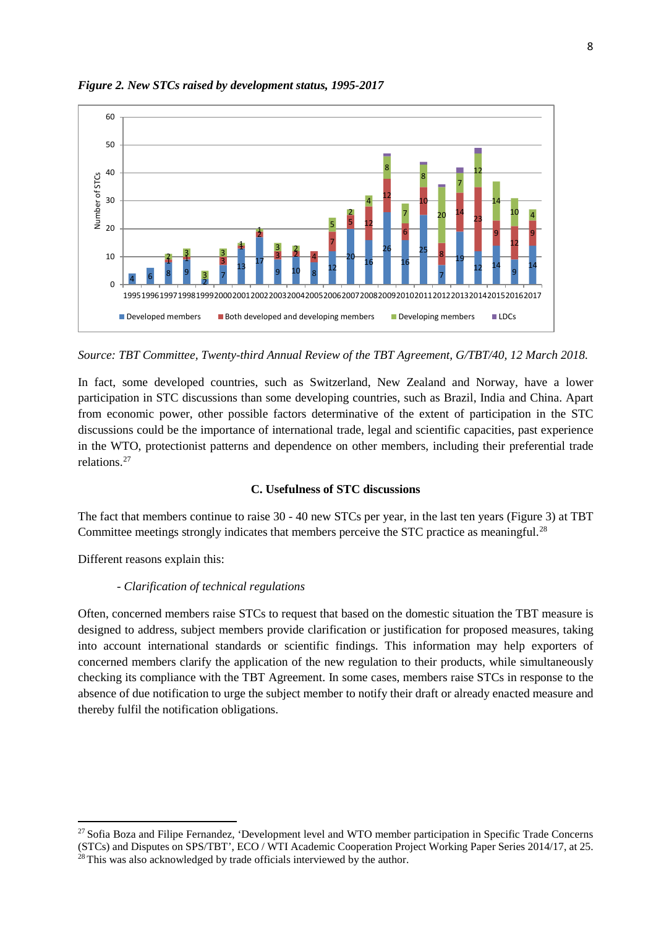

*Figure 2. New STCs raised by development status, 1995-2017*

*Source: TBT Committee, Twenty-third Annual Review of the TBT Agreement, G/TBT/40, 12 March 2018.*

In fact, some developed countries, such as Switzerland, New Zealand and Norway, have a lower participation in STC discussions than some developing countries, such as Brazil, India and China. Apart from economic power, other possible factors determinative of the extent of participation in the STC discussions could be the importance of international trade, legal and scientific capacities, past experience in the WTO, protectionist patterns and dependence on other members, including their preferential trade relations.[27](#page-8-0)

#### **C. Usefulness of STC discussions**

The fact that members continue to raise 30 - 40 new STCs per year, in the last ten years (Figure 3) at TBT Committee meetings strongly indicates that members perceive the STC practice as meaningful.<sup>[28](#page-8-1)</sup>

Different reasons explain this:

 $\overline{a}$ 

#### *- Clarification of technical regulations*

Often, concerned members raise STCs to request that based on the domestic situation the TBT measure is designed to address, subject members provide clarification or justification for proposed measures, taking into account international standards or scientific findings. This information may help exporters of concerned members clarify the application of the new regulation to their products, while simultaneously checking its compliance with the TBT Agreement. In some cases, members raise STCs in response to the absence of due notification to urge the subject member to notify their draft or already enacted measure and thereby fulfil the notification obligations.

<span id="page-8-1"></span><span id="page-8-0"></span><sup>&</sup>lt;sup>27</sup> Sofia Boza and Filipe Fernandez, 'Development level and WTO member participation in Specific Trade Concerns (STCs) and Disputes on SPS/TBT', ECO / WTI Academic Cooperation Project Working Paper Series 2014/17, at 25. <sup>28</sup> This was also acknowledged by trade officials interviewed by the author.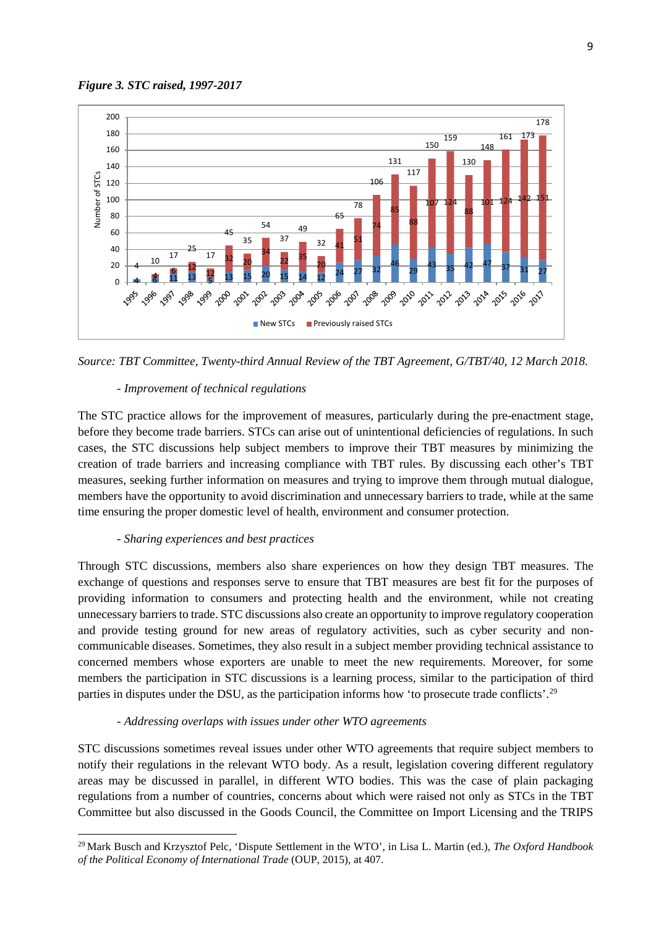



*Source: TBT Committee, Twenty-third Annual Review of the TBT Agreement, G/TBT/40, 12 March 2018.*

#### *- Improvement of technical regulations*

The STC practice allows for the improvement of measures, particularly during the pre-enactment stage, before they become trade barriers. STCs can arise out of unintentional deficiencies of regulations. In such cases, the STC discussions help subject members to improve their TBT measures by minimizing the creation of trade barriers and increasing compliance with TBT rules. By discussing each other's TBT measures, seeking further information on measures and trying to improve them through mutual dialogue, members have the opportunity to avoid discrimination and unnecessary barriers to trade, while at the same time ensuring the proper domestic level of health, environment and consumer protection.

#### *- Sharing experiences and best practices*

 $\overline{a}$ 

Through STC discussions, members also share experiences on how they design TBT measures. The exchange of questions and responses serve to ensure that TBT measures are best fit for the purposes of providing information to consumers and protecting health and the environment, while not creating unnecessary barriers to trade. STC discussions also create an opportunity to improve regulatory cooperation and provide testing ground for new areas of regulatory activities, such as cyber security and noncommunicable diseases. Sometimes, they also result in a subject member providing technical assistance to concerned members whose exporters are unable to meet the new requirements. Moreover, for some members the participation in STC discussions is a learning process, similar to the participation of third parties in disputes under the DSU, as the participation informs how 'to prosecute trade conflicts'.<sup>[29](#page-9-0)</sup>

#### *- Addressing overlaps with issues under other WTO agreements*

STC discussions sometimes reveal issues under other WTO agreements that require subject members to notify their regulations in the relevant WTO body. As a result, legislation covering different regulatory areas may be discussed in parallel, in different WTO bodies. This was the case of plain packaging regulations from a number of countries, concerns about which were raised not only as STCs in the TBT Committee but also discussed in the Goods Council, the Committee on Import Licensing and the TRIPS

<span id="page-9-0"></span> Mark Busch and Krzysztof Pelc, 'Dispute Settlement in the WTO', in Lisa L. Martin (ed.), *The Oxford Handbook of the Political Economy of International Trade* (OUP, 2015), at 407.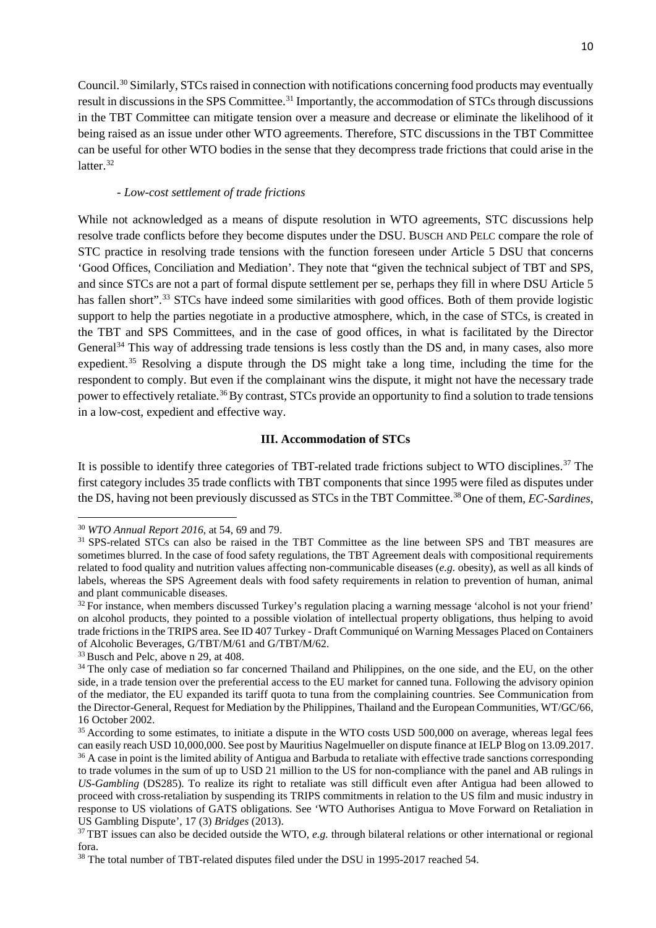Council. [30](#page-10-0) Similarly, STCs raised in connection with notifications concerning food products may eventually result in discussions in the SPS Committee.<sup>[31](#page-10-1)</sup> Importantly, the accommodation of STCs through discussions in the TBT Committee can mitigate tension over a measure and decrease or eliminate the likelihood of it being raised as an issue under other WTO agreements. Therefore, STC discussions in the TBT Committee can be useful for other WTO bodies in the sense that they decompress trade frictions that could arise in the latter.<sup>[32](#page-10-2)</sup>

#### *- Low-cost settlement of trade frictions*

While not acknowledged as a means of dispute resolution in WTO agreements, STC discussions help resolve trade conflicts before they become disputes under the DSU. BUSCH AND PELC compare the role of STC practice in resolving trade tensions with the function foreseen under Article 5 DSU that concerns 'Good Offices, Conciliation and Mediation'. They note that "given the technical subject of TBT and SPS, and since STCs are not a part of formal dispute settlement per se, perhaps they fill in where DSU Article 5 has fallen short".<sup>[33](#page-10-3)</sup> STCs have indeed some similarities with good offices. Both of them provide logistic support to help the parties negotiate in a productive atmosphere, which, in the case of STCs, is created in the TBT and SPS Committees, and in the case of good offices, in what is facilitated by the Director General<sup>[34](#page-10-4)</sup> This way of addressing trade tensions is less costly than the DS and, in many cases, also more expedient.<sup>[35](#page-10-5)</sup> Resolving a dispute through the DS might take a long time, including the time for the respondent to comply. But even if the complainant wins the dispute, it might not have the necessary trade power to effectively retaliate.<sup>[36](#page-10-6)</sup>By contrast, STCs provide an opportunity to find a solution to trade tensions in a low-cost, expedient and effective way.

#### **III. Accommodation of STCs**

It is possible to identify three categories of TBT-related trade frictions subject to WTO disciplines.<sup>[37](#page-10-7)</sup> The first category includes 35 trade conflicts with TBT components that since 1995 were filed as disputes under the DS, having not been previously discussed as STCs in the TBT Committee.[38](#page-10-8)One of them, *EC-Sardines*,

<sup>30</sup> *WTO Annual Report 2016*, at 54, 69 and 79.

<span id="page-10-1"></span><span id="page-10-0"></span><sup>&</sup>lt;sup>31</sup> SPS-related STCs can also be raised in the TBT Committee as the line between SPS and TBT measures are sometimes blurred. In the case of food safety regulations, the TBT Agreement deals with compositional requirements related to food quality and nutrition values affecting non-communicable diseases (*e.g.* obesity), as well as all kinds of labels, whereas the SPS Agreement deals with food safety requirements in relation to prevention of human, animal and plant communicable diseases.

<span id="page-10-2"></span> $32$  For instance, when members discussed Turkey's regulation placing a warning message 'alcohol is not your friend' on alcohol products, they pointed to a possible violation of intellectual property obligations, thus helping to avoid trade frictions in the TRIPS area. See ID 407 Turkey - Draft Communiqué on Warning Messages Placed on Containers of Alcoholic Beverages, G/TBT/M/61 and G/TBT/M/62.

<span id="page-10-3"></span><sup>&</sup>lt;sup>33</sup> Busch and Pelc, above n 29, at 408.

<span id="page-10-4"></span><sup>&</sup>lt;sup>34</sup> The only case of mediation so far concerned Thailand and Philippines, on the one side, and the EU, on the other side, in a trade tension over the preferential access to the EU market for canned tuna. Following the advisory opinion of the mediator, the EU expanded its tariff quota to tuna from the complaining countries. See Communication from the Director-General, Request for Mediation by the Philippines, Thailand and the European Communities, WT/GC/66, 16 October 2002.

<span id="page-10-5"></span><sup>&</sup>lt;sup>35</sup> According to some estimates, to initiate a dispute in the WTO costs USD 500,000 on average, whereas legal fees can easily reach USD 10,000,000. See post by Mauritius Nagelmueller on dispute finance at IELP Blog on 13.09.2017.

<span id="page-10-6"></span><sup>&</sup>lt;sup>36</sup> A case in point is the limited ability of Antigua and Barbuda to retaliate with effective trade sanctions corresponding to trade volumes in the sum of up to USD 21 million to the US for non-compliance with the panel and AB rulings in *US-Gambling* (DS285). To realize its right to retaliate was still difficult even after Antigua had been allowed to proceed with cross-retaliation by suspending its TRIPS commitments in relation to the US film and music industry in response to US violations of GATS obligations. See 'WTO Authorises Antigua to Move Forward on Retaliation in US Gambling Dispute', 17 (3) *Bridges* (2013).

<span id="page-10-7"></span><sup>&</sup>lt;sup>37</sup> TBT issues can also be decided outside the WTO, *e.g.* through bilateral relations or other international or regional fora.

<span id="page-10-8"></span><sup>38</sup> The total number of TBT-related disputes filed under the DSU in 1995-2017 reached 54.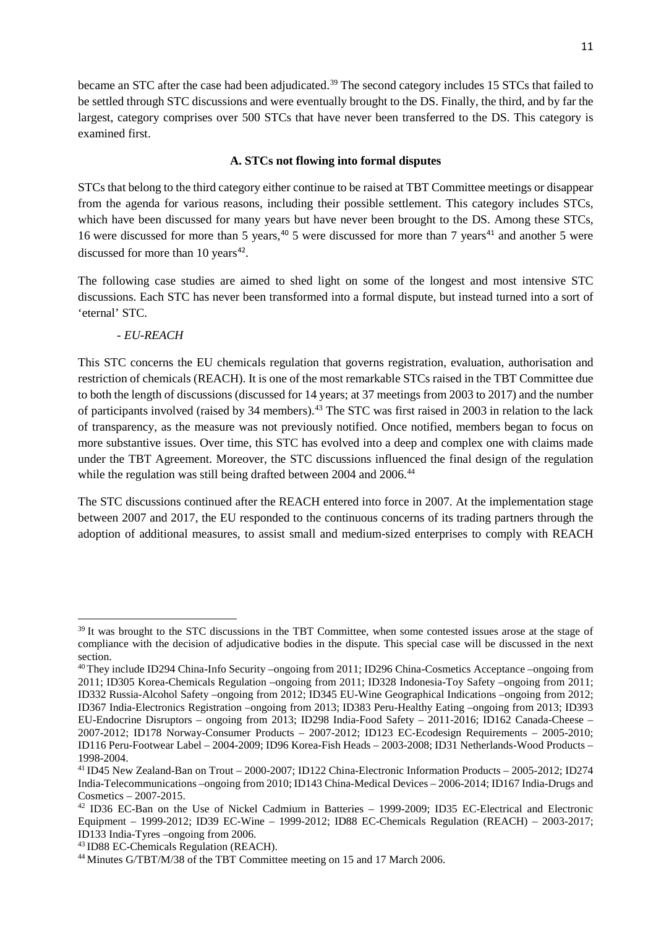became an STC after the case had been adjudicated.<sup>[39](#page-11-0)</sup> The second category includes 15 STCs that failed to be settled through STC discussions and were eventually brought to the DS. Finally, the third, and by far the largest, category comprises over 500 STCs that have never been transferred to the DS. This category is examined first.

#### **A. STCs not flowing into formal disputes**

STCs that belong to the third category either continue to be raised at TBT Committee meetings or disappear from the agenda for various reasons, including their possible settlement. This category includes STCs, which have been discussed for many years but have never been brought to the DS. Among these STCs, 16 were discussed for more than 5 years,<sup>[40](#page-11-1)</sup> 5 were discussed for more than 7 years<sup>[41](#page-11-2)</sup> and another 5 were discussed for more than  $10$  years<sup>[42](#page-11-3)</sup>.

The following case studies are aimed to shed light on some of the longest and most intensive STC discussions. Each STC has never been transformed into a formal dispute, but instead turned into a sort of 'eternal' STC.

#### *- EU-REACH*

l

This STC concerns the EU chemicals regulation that governs registration, evaluation, authorisation and restriction of chemicals (REACH). It is one of the most remarkable STCs raised in the TBT Committee due to both the length of discussions (discussed for 14 years; at 37 meetings from 2003 to 2017) and the number of participants involved (raised by 34 members).<sup>[43](#page-11-4)</sup> The STC was first raised in 2003 in relation to the lack of transparency, as the measure was not previously notified. Once notified, members began to focus on more substantive issues. Over time, this STC has evolved into a deep and complex one with claims made under the TBT Agreement. Moreover, the STC discussions influenced the final design of the regulation while the regulation was still being drafted between 2004 and 2006.<sup>[44](#page-11-5)</sup>

The STC discussions continued after the REACH entered into force in 2007. At the implementation stage between 2007 and 2017, the EU responded to the continuous concerns of its trading partners through the adoption of additional measures, to assist small and medium-sized enterprises to comply with REACH

<span id="page-11-0"></span><sup>&</sup>lt;sup>39</sup> It was brought to the STC discussions in the TBT Committee, when some contested issues arose at the stage of compliance with the decision of adjudicative bodies in the dispute. This special case will be discussed in the next section.

<span id="page-11-1"></span><sup>40</sup> They include ID294 China-Info Security –ongoing from 2011; ID296 China-Cosmetics Acceptance –ongoing from 2011; ID305 Korea-Chemicals Regulation –ongoing from 2011; ID328 Indonesia-Toy Safety –ongoing from 2011; ID332 Russia-Alcohol Safety –ongoing from 2012; ID345 EU-Wine Geographical Indications –ongoing from 2012; ID367 India-Electronics Registration –ongoing from 2013; ID383 Peru-Healthy Eating –ongoing from 2013; ID393 EU-Endocrine Disruptors – ongoing from 2013; ID298 India-Food Safety – 2011-2016; ID162 Canada-Cheese – 2007-2012; ID178 Norway-Consumer Products – 2007-2012; ID123 EC-Ecodesign Requirements – 2005-2010; ID116 Peru-Footwear Label – 2004-2009; ID96 Korea-Fish Heads – 2003-2008; ID31 Netherlands-Wood Products – 1998-2004.

<span id="page-11-2"></span><sup>41</sup> ID45 New Zealand-Ban on Trout – 2000-2007; ID122 China-Electronic Information Products – 2005-2012; ID274 India-Telecommunications –ongoing from 2010; ID143 China-Medical Devices – 2006-2014; ID167 India-Drugs and Cosmetics – 2007-2015. 42 ID36 EC-Ban on the Use of Nickel Cadmium in Batteries – 1999-2009; ID35 EC-Electrical and Electronic

<span id="page-11-3"></span>Equipment – 1999-2012; ID39 EC-Wine – 1999-2012; ID88 EC-Chemicals Regulation (REACH) – 2003-2017; ID133 India-Tyres –ongoing from 2006.

<span id="page-11-4"></span><sup>43</sup> ID88 EC-Chemicals Regulation (REACH).

<span id="page-11-5"></span><sup>44</sup> Minutes G/TBT/M/38 of the TBT Committee meeting on 15 and 17 March 2006.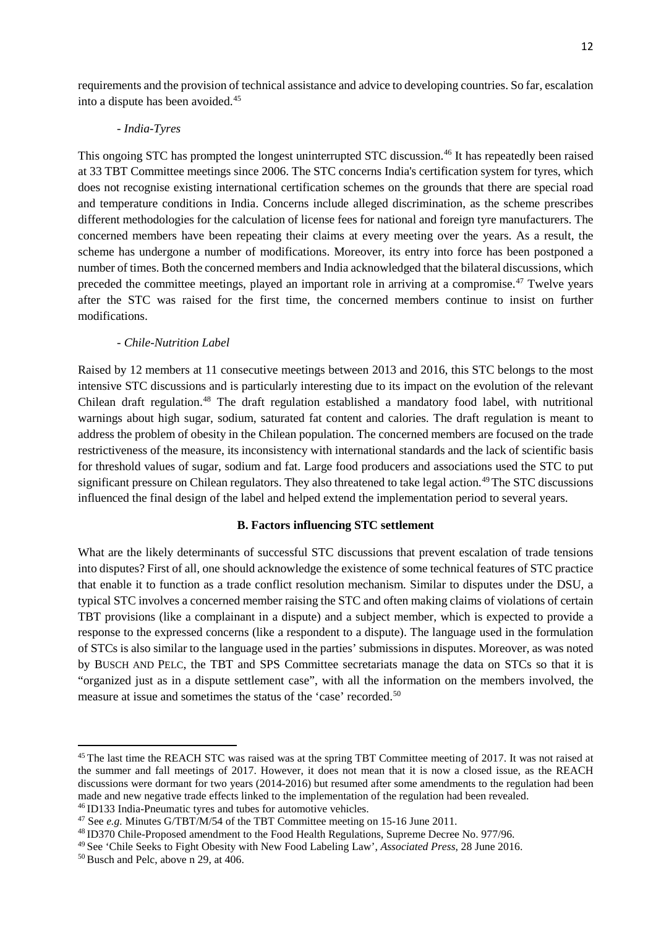requirements and the provision of technical assistance and advice to developing countries. So far, escalation into a dispute has been avoided.[45](#page-12-0)

# *- India-Tyres*

This ongoing STC has prompted the longest uninterrupted STC discussion.[46](#page-12-1) It has repeatedly been raised at 33 TBT Committee meetings since 2006. The STC concerns India's certification system for tyres, which does not recognise existing international certification schemes on the grounds that there are special road and temperature conditions in India. Concerns include alleged discrimination, as the scheme prescribes different methodologies for the calculation of license fees for national and foreign tyre manufacturers. The concerned members have been repeating their claims at every meeting over the years. As a result, the scheme has undergone a number of modifications. Moreover, its entry into force has been postponed a number of times. Both the concerned members and India acknowledged that the bilateral discussions, which preceded the committee meetings, played an important role in arriving at a compromise.<sup>47</sup> Twelve years after the STC was raised for the first time, the concerned members continue to insist on further modifications.

#### *- Chile-Nutrition Label*

Raised by 12 members at 11 consecutive meetings between 2013 and 2016, this STC belongs to the most intensive STC discussions and is particularly interesting due to its impact on the evolution of the relevant Chilean draft regulation. [48](#page-12-3) The draft regulation established a mandatory food label, with nutritional warnings about high sugar, sodium, saturated fat content and calories. The draft regulation is meant to address the problem of obesity in the Chilean population. The concerned members are focused on the trade restrictiveness of the measure, its inconsistency with international standards and the lack of scientific basis for threshold values of sugar, sodium and fat. Large food producers and associations used the STC to put significant pressure on Chilean regulators. They also threatened to take legal action.<sup>[49](#page-12-4)</sup>The STC discussions influenced the final design of the label and helped extend the implementation period to several years.

#### **B. Factors influencing STC settlement**

What are the likely determinants of successful STC discussions that prevent escalation of trade tensions into disputes? First of all, one should acknowledge the existence of some technical features of STC practice that enable it to function as a trade conflict resolution mechanism. Similar to disputes under the DSU, a typical STC involves a concerned member raising the STC and often making claims of violations of certain TBT provisions (like a complainant in a dispute) and a subject member, which is expected to provide a response to the expressed concerns (like a respondent to a dispute). The language used in the formulation of STCs is also similar to the language used in the parties' submissions in disputes. Moreover, as was noted by BUSCH AND PELC, the TBT and SPS Committee secretariats manage the data on STCs so that it is "organized just as in a dispute settlement case", with all the information on the members involved, the measure at issue and sometimes the status of the 'case' recorded.<sup>[50](#page-12-5)</sup>

<span id="page-12-0"></span><sup>&</sup>lt;sup>45</sup> The last time the REACH STC was raised was at the spring TBT Committee meeting of 2017. It was not raised at the summer and fall meetings of 2017. However, it does not mean that it is now a closed issue, as the REACH discussions were dormant for two years (2014-2016) but resumed after some amendments to the regulation had been made and new negative trade effects linked to the implementation of the regulation had been revealed. 46 ID133 India-Pneumatic tyres and tubes for automotive vehicles.

<span id="page-12-2"></span><span id="page-12-1"></span><sup>47</sup> See *e.g.* Minutes G/TBT/M/54 of the TBT Committee meeting on 15-16 June 2011.

<span id="page-12-3"></span><sup>48</sup> ID370 Chile-Proposed amendment to the Food Health Regulations, Supreme Decree No. 977/96.

<span id="page-12-4"></span><sup>49</sup> See 'Chile Seeks to Fight Obesity with New Food Labeling Law', *Associated Press*, 28 June 2016.

<span id="page-12-5"></span><sup>50</sup> Busch and Pelc, above n 29, at 406.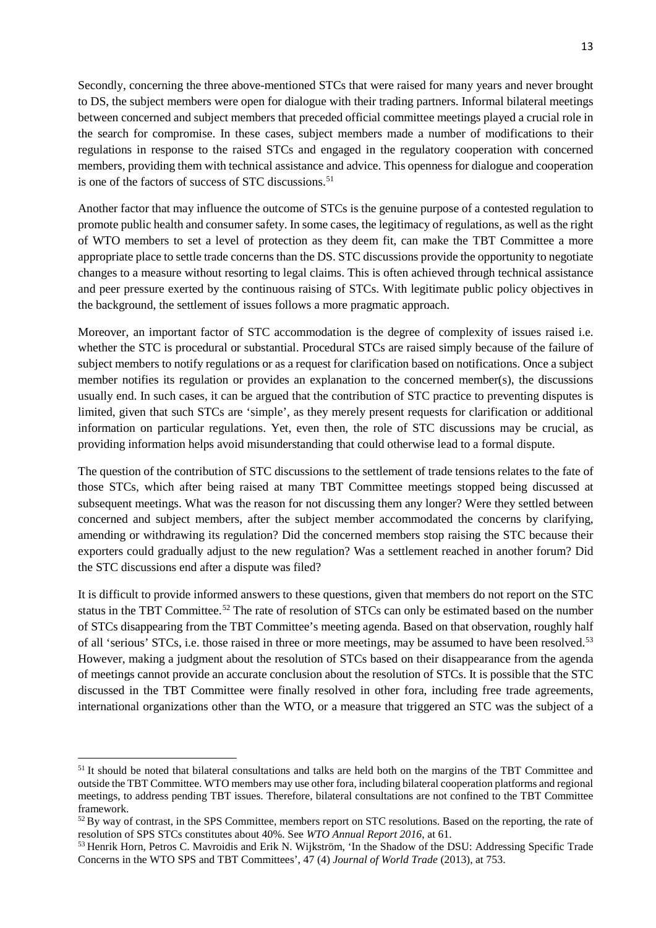Secondly, concerning the three above-mentioned STCs that were raised for many years and never brought to DS, the subject members were open for dialogue with their trading partners. Informal bilateral meetings between concerned and subject members that preceded official committee meetings played a crucial role in the search for compromise. In these cases, subject members made a number of modifications to their regulations in response to the raised STCs and engaged in the regulatory cooperation with concerned members, providing them with technical assistance and advice. This openness for dialogue and cooperation is one of the factors of success of STC discussions.<sup>[51](#page-13-0)</sup>

Another factor that may influence the outcome of STCs is the genuine purpose of a contested regulation to promote public health and consumer safety. In some cases, the legitimacy of regulations, as well as the right of WTO members to set a level of protection as they deem fit, can make the TBT Committee a more appropriate place to settle trade concerns than the DS. STC discussions provide the opportunity to negotiate changes to a measure without resorting to legal claims. This is often achieved through technical assistance and peer pressure exerted by the continuous raising of STCs. With legitimate public policy objectives in the background, the settlement of issues follows a more pragmatic approach.

Moreover, an important factor of STC accommodation is the degree of complexity of issues raised i.e. whether the STC is procedural or substantial. Procedural STCs are raised simply because of the failure of subject members to notify regulations or as a request for clarification based on notifications. Once a subject member notifies its regulation or provides an explanation to the concerned member(s), the discussions usually end. In such cases, it can be argued that the contribution of STC practice to preventing disputes is limited, given that such STCs are 'simple', as they merely present requests for clarification or additional information on particular regulations. Yet, even then, the role of STC discussions may be crucial, as providing information helps avoid misunderstanding that could otherwise lead to a formal dispute.

The question of the contribution of STC discussions to the settlement of trade tensions relates to the fate of those STCs, which after being raised at many TBT Committee meetings stopped being discussed at subsequent meetings. What was the reason for not discussing them any longer? Were they settled between concerned and subject members, after the subject member accommodated the concerns by clarifying, amending or withdrawing its regulation? Did the concerned members stop raising the STC because their exporters could gradually adjust to the new regulation? Was a settlement reached in another forum? Did the STC discussions end after a dispute was filed?

It is difficult to provide informed answers to these questions, given that members do not report on the STC status in the TBT Committee.<sup>[52](#page-13-1)</sup> The rate of resolution of STCs can only be estimated based on the number of STCs disappearing from the TBT Committee's meeting agenda. Based on that observation, roughly half of all 'serious' STCs, i.e. those raised in three or more meetings, may be assumed to have been resolved.[53](#page-13-2) However, making a judgment about the resolution of STCs based on their disappearance from the agenda of meetings cannot provide an accurate conclusion about the resolution of STCs. It is possible that the STC discussed in the TBT Committee were finally resolved in other fora, including free trade agreements, international organizations other than the WTO, or a measure that triggered an STC was the subject of a

<span id="page-13-0"></span><sup>&</sup>lt;sup>51</sup> It should be noted that bilateral consultations and talks are held both on the margins of the TBT Committee and outside the TBT Committee. WTO members may use other fora, including bilateral cooperation platforms and regional meetings, to address pending TBT issues. Therefore, bilateral consultations are not confined to the TBT Committee framework.

<span id="page-13-1"></span><sup>&</sup>lt;sup>52</sup> By way of contrast, in the SPS Committee, members report on STC resolutions. Based on the reporting, the rate of resolution of SPS STCs constitutes about 40%. See *WTO Annual Report 2016*, at 61.

<span id="page-13-2"></span><sup>53</sup> Henrik Horn, Petros C. Mavroidis and Erik N. Wijkström, 'In the Shadow of the DSU: Addressing Specific Trade Concerns in the WTO SPS and TBT Committees', 47 (4) *Journal of World Trade* (2013), at 753.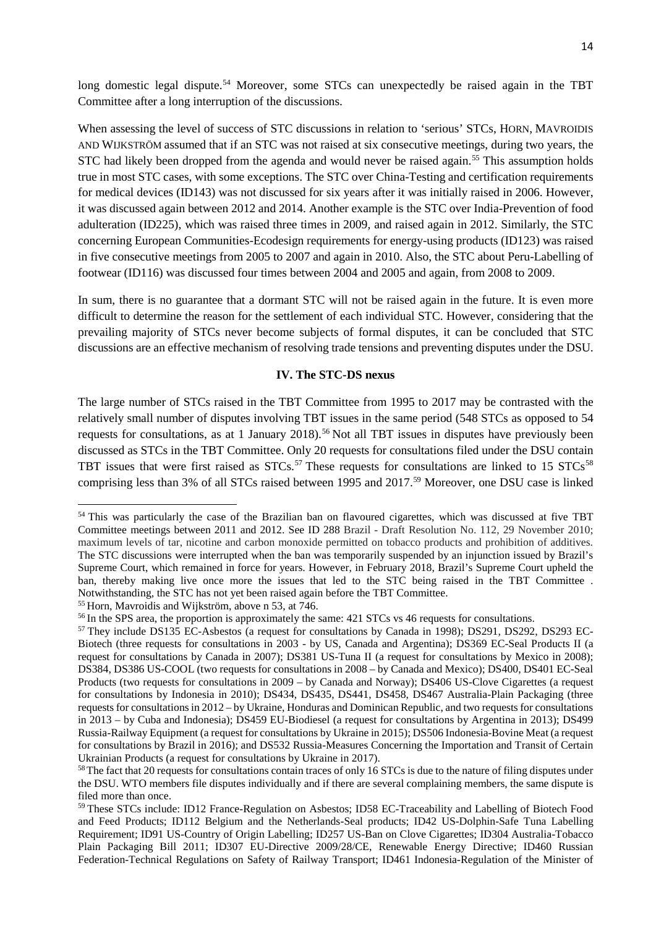long domestic legal dispute.<sup>[54](#page-14-0)</sup> Moreover, some STCs can unexpectedly be raised again in the TBT Committee after a long interruption of the discussions.

When assessing the level of success of STC discussions in relation to 'serious' STCs, HORN, MAVROIDIS AND WIJKSTRÖM assumed that if an STC was not raised at six consecutive meetings, during two years, the STC had likely been dropped from the agenda and would never be raised again.<sup>[55](#page-14-1)</sup> This assumption holds true in most STC cases, with some exceptions. The STC over China-Testing and certification requirements for medical devices (ID143) was not discussed for six years after it was initially raised in 2006. However, it was discussed again between 2012 and 2014. Another example is the STC over India-Prevention of food adulteration (ID225), which was raised three times in 2009, and raised again in 2012. Similarly, the STC concerning European Communities-Ecodesign requirements for energy-using products (ID123) was raised in five consecutive meetings from 2005 to 2007 and again in 2010. Also, the STC about Peru-Labelling of footwear (ID116) was discussed four times between 2004 and 2005 and again, from 2008 to 2009.

In sum, there is no guarantee that a dormant STC will not be raised again in the future. It is even more difficult to determine the reason for the settlement of each individual STC. However, considering that the prevailing majority of STCs never become subjects of formal disputes, it can be concluded that STC discussions are an effective mechanism of resolving trade tensions and preventing disputes under the DSU.

#### **IV. The STC-DS nexus**

The large number of STCs raised in the TBT Committee from 1995 to 2017 may be contrasted with the relatively small number of disputes involving TBT issues in the same period (548 STCs as opposed to 54 requests for consultations, as at 1 January 2018).<sup>[56](#page-14-2)</sup> Not all TBT issues in disputes have previously been discussed as STCs in the TBT Committee. Only 20 requests for consultations filed under the DSU contain TBT issues that were first raised as  $STCs$ .<sup>[57](#page-14-3)</sup> These requests for consultations are linked to 15  $STCs$ <sup>[58](#page-14-4)</sup> comprising less than 3% of all STCs raised between 1995 and 2017.[59](#page-14-5) Moreover, one DSU case is linked

<span id="page-14-0"></span><sup>54</sup> This was particularly the case of the Brazilian ban on flavoured cigarettes, which was discussed at five TBT Committee meetings between 2011 and 2012. See ID 288 Brazil - Draft Resolution No. 112, 29 November 2010; maximum levels of tar, nicotine and carbon monoxide permitted on tobacco products and prohibition of additives. The STC discussions were interrupted when the ban was temporarily suspended by an injunction issued by Brazil's Supreme Court, which remained in force for years. However, in February 2018, Brazil's Supreme Court upheld the ban, thereby making live once more the issues that led to the STC being raised in the TBT Committee . Notwithstanding, the STC has not yet been raised again before the TBT Committee.

<span id="page-14-1"></span><sup>55</sup> Horn, Mavroidis and Wijkström, above n 53, at 746.

<span id="page-14-2"></span><sup>&</sup>lt;sup>56</sup> In the SPS area, the proportion is approximately the same: 421 STCs vs 46 requests for consultations.

<span id="page-14-3"></span><sup>57</sup> They include DS135 EC-Asbestos (a request for consultations by Canada in 1998); DS291, DS292, DS293 EC-Biotech (three requests for consultations in 2003 - by US, Canada and Argentina); DS369 EC-Seal Products II (a request for consultations by Canada in 2007); DS381 US-Tuna II (a request for consultations by Mexico in 2008); DS384, DS386 US-COOL (two requests for consultations in 2008 – by Canada and Mexico); DS400, DS401 EC-Seal Products (two requests for consultations in 2009 – by Canada and Norway); DS406 US-Clove Cigarettes (a request for consultations by Indonesia in 2010); DS434, DS435, DS441, DS458, DS467 Australia-Plain Packaging (three requests for consultations in 2012 – by Ukraine, Honduras and Dominican Republic, and two requests for consultations in 2013 – by Cuba and Indonesia); DS459 EU-Biodiesel (a request for consultations by Argentina in 2013); DS499 Russia-Railway Equipment (a request for consultations by Ukraine in 2015); DS506 Indonesia-Bovine Meat (a request for consultations by Brazil in 2016); and DS532 Russia-Measures Concerning the Importation and Transit of Certain Ukrainian Products (a request for consultations by Ukraine in 2017).

<span id="page-14-4"></span><sup>&</sup>lt;sup>58</sup>The fact that 20 requests for consultations contain traces of only 16 STCs is due to the nature of filing disputes under the DSU. WTO members file disputes individually and if there are several complaining members, the same dispute is filed more than once.

<span id="page-14-5"></span><sup>59</sup> These STCs include: ID12 France-Regulation on Asbestos; ID58 EC-Traceability and Labelling of Biotech Food and Feed Products; ID112 Belgium and the Netherlands-Seal products; ID42 US-Dolphin-Safe Tuna Labelling Requirement; ID91 US-Country of Origin Labelling; ID257 US-Ban on Clove Cigarettes; ID304 Australia-Tobacco Plain Packaging Bill 2011; ID307 EU-Directive 2009/28/CE, Renewable Energy Directive; ID460 Russian Federation-Technical Regulations on Safety of Railway Transport; ID461 Indonesia-Regulation of the Minister of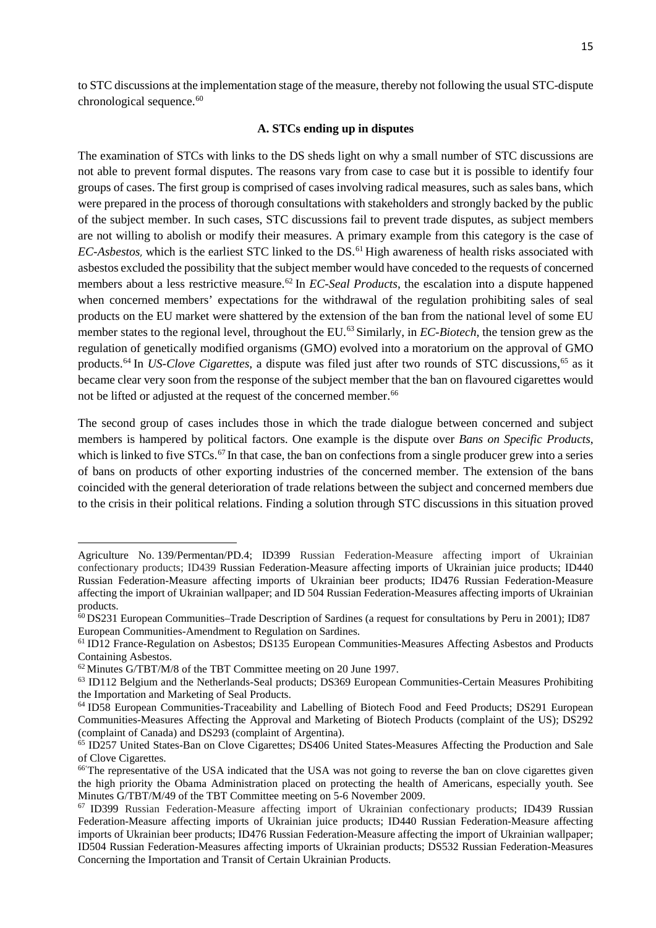#### **A. STCs ending up in disputes**

The examination of STCs with links to the DS sheds light on why a small number of STC discussions are not able to prevent formal disputes. The reasons vary from case to case but it is possible to identify four groups of cases. The first group is comprised of cases involving radical measures, such as sales bans, which were prepared in the process of thorough consultations with stakeholders and strongly backed by the public of the subject member. In such cases, STC discussions fail to prevent trade disputes, as subject members are not willing to abolish or modify their measures. A primary example from this category is the case of *EC-Asbestos*, which is the earliest STC linked to the DS.<sup>[61](#page-15-1)</sup> High awareness of health risks associated with asbestos excluded the possibility that the subject member would have conceded to the requests of concerned members about a less restrictive measure.<sup>[62](#page-15-2)</sup> In *EC-Seal Products*, the escalation into a dispute happened when concerned members' expectations for the withdrawal of the regulation prohibiting sales of seal products on the EU market were shattered by the extension of the ban from the national level of some EU member states to the regional level, throughout the EU.[63](#page-15-3) Similarly, in *EC-Biotech*, the tension grew as the regulation of genetically modified organisms (GMO) evolved into a moratorium on the approval of GMO products.[64](#page-15-4) In *US-Clove Cigarettes*, a dispute was filed just after two rounds of STC discussions, [65](#page-15-5) as it became clear very soon from the response of the subject member that the ban on flavoured cigarettes would not be lifted or adjusted at the request of the concerned member.<sup>[66](#page-15-6)</sup>

The second group of cases includes those in which the trade dialogue between concerned and subject members is hampered by political factors. One example is the dispute over *Bans on Specific Products*, which is linked to five STCs.<sup>[67](#page-15-7)</sup> In that case, the ban on confections from a single producer grew into a series of bans on products of other exporting industries of the concerned member. The extension of the bans coincided with the general deterioration of trade relations between the subject and concerned members due to the crisis in their political relations. Finding a solution through STC discussions in this situation proved

Agriculture No. 139/Permentan/PD.4; ID399 Russian Federation-Measure affecting import of Ukrainian confectionary products; ID439 Russian Federation-Measure affecting imports of Ukrainian juice products; ID440 Russian Federation-Measure affecting imports of Ukrainian beer products; ID476 Russian Federation-Measure affecting the import of Ukrainian wallpaper; and ID 504 Russian Federation-Measures affecting imports of Ukrainian products.

<span id="page-15-0"></span><sup>60</sup> DS231 European Communities–Trade Description of Sardines (a request for consultations by Peru in 2001); ID87 European Communities-Amendment to Regulation on Sardines.

<span id="page-15-1"></span><sup>61</sup> ID12 France-Regulation on Asbestos; DS135 European Communities-Measures Affecting Asbestos and Products Containing Asbestos.

<span id="page-15-2"></span><sup>62</sup> Minutes G/TBT/M/8 of the TBT Committee meeting on 20 June 1997.

<span id="page-15-3"></span><sup>63</sup> ID112 Belgium and the Netherlands-Seal products; DS369 European Communities-Certain Measures Prohibiting the Importation and Marketing of Seal Products.

<span id="page-15-4"></span><sup>64</sup> ID58 European Communities-Traceability and Labelling of Biotech Food and Feed Products; DS291 European Communities-Measures Affecting the Approval and Marketing of Biotech Products (complaint of the US); DS292 (complaint of Canada) and DS293 (complaint of Argentina).

<span id="page-15-5"></span><sup>65</sup> ID257 United States-Ban on Clove Cigarettes; DS406 United States-Measures Affecting the Production and Sale of Clove Cigarettes.

<span id="page-15-6"></span><sup>66&#</sup>x27; The representative of the USA indicated that the USA was not going to reverse the ban on clove cigarettes given the high priority the Obama Administration placed on protecting the health of Americans, especially youth. See Minutes G/TBT/M/49 of the TBT Committee meeting on 5-6 November 2009.

<span id="page-15-7"></span><sup>67</sup> ID399 Russian Federation-Measure affecting import of Ukrainian confectionary products; ID439 Russian Federation-Measure affecting imports of Ukrainian juice products; ID440 Russian Federation-Measure affecting imports of Ukrainian beer products; ID476 Russian Federation-Measure affecting the import of Ukrainian wallpaper; ID504 Russian Federation-Measures affecting imports of Ukrainian products; DS532 Russian Federation-Measures Concerning the Importation and Transit of Certain Ukrainian Products.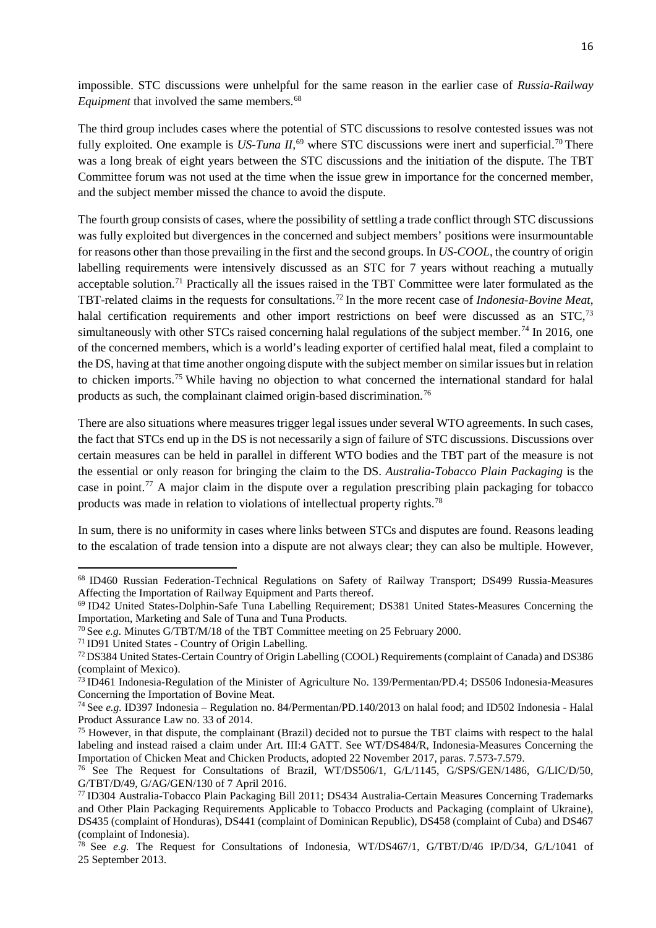impossible. STC discussions were unhelpful for the same reason in the earlier case of *Russia-Railway Equipment* that involved the same members.<sup>[68](#page-16-0)</sup>

The third group includes cases where the potential of STC discussions to resolve contested issues was not fully exploited. One example is *US-Tuna II*,<sup>[69](#page-16-1)</sup> where STC discussions were inert and superficial.<sup>[70](#page-16-2)</sup> There was a long break of eight years between the STC discussions and the initiation of the dispute. The TBT Committee forum was not used at the time when the issue grew in importance for the concerned member, and the subject member missed the chance to avoid the dispute.

The fourth group consists of cases, where the possibility of settling a trade conflict through STC discussions was fully exploited but divergences in the concerned and subject members' positions were insurmountable for reasons other than those prevailing in the first and the second groups. In *US-COOL*, the country of origin labelling requirements were intensively discussed as an STC for 7 years without reaching a mutually acceptable solution.<sup>[71](#page-16-3)</sup> Practically all the issues raised in the TBT Committee were later formulated as the TBT-related claims in the requests for consultations. [72](#page-16-4) In the more recent case of *Indonesia-Bovine Meat*, halal certification requirements and other import restrictions on beef were discussed as an STC,<sup>[73](#page-16-5)</sup> simultaneously with other STCs raised concerning halal regulations of the subject member.<sup>[74](#page-16-6)</sup> In 2016, one of the concerned members, which is a world's leading exporter of certified halal meat, filed a complaint to the DS, having at that time another ongoing dispute with the subject member on similar issues but in relation to chicken imports.[75](#page-16-7) While having no objection to what concerned the international standard for halal products as such, the complainant claimed origin-based discrimination.<sup>[76](#page-16-8)</sup>

There are also situations where measures trigger legal issues under several WTO agreements. In such cases, the fact that STCs end up in the DS is not necessarily a sign of failure of STC discussions. Discussions over certain measures can be held in parallel in different WTO bodies and the TBT part of the measure is not the essential or only reason for bringing the claim to the DS. *Australia-Tobacco Plain Packaging* is the case in point.[77](#page-16-9) A major claim in the dispute over a regulation prescribing plain packaging for tobacco products was made in relation to violations of intellectual property rights.[78](#page-16-10)

In sum, there is no uniformity in cases where links between STCs and disputes are found. Reasons leading to the escalation of trade tension into a dispute are not always clear; they can also be multiple. However,

l

<span id="page-16-0"></span><sup>68</sup> ID460 Russian Federation-Technical Regulations on Safety of Railway Transport; DS499 Russia-Measures Affecting the Importation of Railway Equipment and Parts thereof.

<span id="page-16-1"></span><sup>69</sup> ID42 United States-Dolphin-Safe Tuna Labelling Requirement; DS381 United States-Measures Concerning the Importation, Marketing and Sale of Tuna and Tuna Products.

<span id="page-16-2"></span><sup>70</sup> See *e.g.* Minutes G/TBT/M/18 of the TBT Committee meeting on 25 February 2000.

<span id="page-16-3"></span><sup>71</sup> ID91 United States - Country of Origin Labelling.

<span id="page-16-4"></span><sup>72</sup>DS384 United States-Certain Country of Origin Labelling (COOL) Requirements (complaint of Canada) and DS386 (complaint of Mexico).

<span id="page-16-5"></span><sup>73</sup> ID461 Indonesia-Regulation of the Minister of Agriculture No. 139/Permentan/PD.4; DS506 Indonesia-Measures Concerning the Importation of Bovine Meat.

<span id="page-16-6"></span><sup>74</sup> See *e.g.* ID397 Indonesia – Regulation no. 84/Permentan/PD.140/2013 on halal food; and ID502 Indonesia - Halal Product Assurance Law no. 33 of 2014.

<span id="page-16-7"></span><sup>75</sup> However, in that dispute, the complainant (Brazil) decided not to pursue the TBT claims with respect to the halal labeling and instead raised a claim under Art. III:4 GATT. See WT/DS484/R, Indonesia-Measures Concerning the Importation of Chicken Meat and Chicken Products, adopted 22 November 2017, paras. 7.573-7.579.

<span id="page-16-8"></span><sup>76</sup> See The Request for Consultations of Brazil, WT/DS506/1, G/L/1145, G/SPS/GEN/1486, G/LIC/D/50, G/TBT/D/49, G/AG/GEN/130 of 7 April 2016.

<span id="page-16-9"></span><sup>77</sup> ID304 Australia-Tobacco Plain Packaging Bill 2011; DS434 Australia-Certain Measures Concerning Trademarks and Other Plain Packaging Requirements Applicable to Tobacco Products and Packaging (complaint of Ukraine), DS435 (complaint of Honduras), DS441 (complaint of Dominican Republic), DS458 (complaint of Cuba) and DS467 (complaint of Indonesia).

<span id="page-16-10"></span><sup>78</sup> See *e.g.* The Request for Consultations of Indonesia, WT/DS467/1, G/TBT/D/46 IP/D/34, G/L/1041 of 25 September 2013.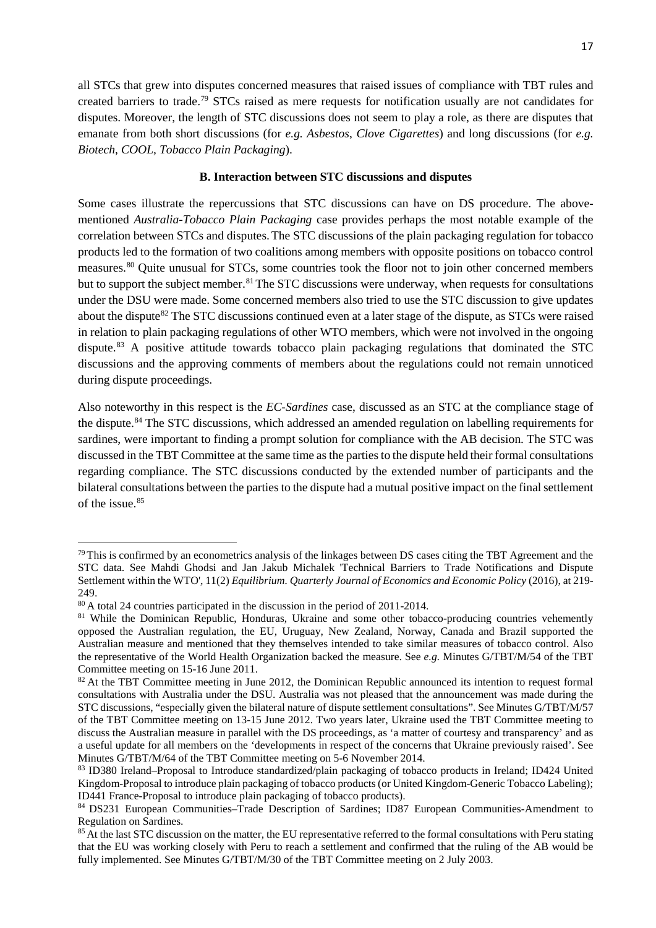17

all STCs that grew into disputes concerned measures that raised issues of compliance with TBT rules and created barriers to trade.[79](#page-17-0) STCs raised as mere requests for notification usually are not candidates for disputes. Moreover, the length of STC discussions does not seem to play a role, as there are disputes that emanate from both short discussions (for *e.g. Asbestos*, *Clove Cigarettes*) and long discussions (for *e.g. Biotech*, *COOL, Tobacco Plain Packaging*).

# **B. Interaction between STC discussions and disputes**

Some cases illustrate the repercussions that STC discussions can have on DS procedure. The abovementioned *Australia-Tobacco Plain Packaging* case provides perhaps the most notable example of the correlation between STCs and disputes.The STC discussions of the plain packaging regulation for tobacco products led to the formation of two coalitions among members with opposite positions on tobacco control measures.[80](#page-17-1) Quite unusual for STCs, some countries took the floor not to join other concerned members but to support the subject member.<sup>[81](#page-17-2)</sup> The STC discussions were underway, when requests for consultations under the DSU were made. Some concerned members also tried to use the STC discussion to give updates about the dispute<sup>[82](#page-17-3)</sup> The STC discussions continued even at a later stage of the dispute, as STCs were raised in relation to plain packaging regulations of other WTO members, which were not involved in the ongoing dispute.<sup>[83](#page-17-4)</sup> A positive attitude towards tobacco plain packaging regulations that dominated the STC discussions and the approving comments of members about the regulations could not remain unnoticed during dispute proceedings.

Also noteworthy in this respect is the *EC-Sardines* case, discussed as an STC at the compliance stage of the dispute.<sup>[84](#page-17-5)</sup> The STC discussions, which addressed an amended regulation on labelling requirements for sardines, were important to finding a prompt solution for compliance with the AB decision. The STC was discussed in the TBT Committee at the same time as the parties to the dispute held their formal consultations regarding compliance. The STC discussions conducted by the extended number of participants and the bilateral consultations between the parties to the dispute had a mutual positive impact on the final settlement of the issue. [85](#page-17-6)

<span id="page-17-0"></span> $79$  This is confirmed by an econometrics analysis of the linkages between DS cases citing the TBT Agreement and the STC data. See Mahdi Ghodsi and Jan Jakub Michalek 'Technical Barriers to Trade Notifications and Dispute Settlement within the WTO'*,* 11(2) *Equilibrium. Quarterly Journal of Economics and Economic Policy* (2016), at 219-

<sup>249.&</sup>lt;br><sup>80</sup> A total 24 countries participated in the discussion in the period of 2011-2014.

<span id="page-17-2"></span><span id="page-17-1"></span><sup>&</sup>lt;sup>81</sup> While the Dominican Republic, Honduras, Ukraine and some other tobacco-producing countries vehemently opposed the Australian regulation, the EU, Uruguay, New Zealand, Norway, Canada and Brazil supported the Australian measure and mentioned that they themselves intended to take similar measures of tobacco control. Also the representative of the World Health Organization backed the measure. See *e.g.* Minutes G/TBT/M/54 of the TBT Committee meeting on 15-16 June 2011.

<span id="page-17-3"></span> $82$  At the TBT Committee meeting in June 2012, the Dominican Republic announced its intention to request formal consultations with Australia under the DSU. Australia was not pleased that the announcement was made during the STC discussions, "especially given the bilateral nature of dispute settlement consultations". See Minutes G/TBT/M/57 of the TBT Committee meeting on 13-15 June 2012. Two years later, Ukraine used the TBT Committee meeting to discuss the Australian measure in parallel with the DS proceedings, as 'a matter of courtesy and transparency' and as a useful update for all members on the 'developments in respect of the concerns that Ukraine previously raised'. See Minutes G/TBT/M/64 of the TBT Committee meeting on 5-6 November 2014.

<span id="page-17-4"></span><sup>83</sup> ID380 Ireland–Proposal to Introduce standardized/plain packaging of tobacco products in Ireland; ID424 United Kingdom-Proposal to introduce plain packaging of tobacco products (or United Kingdom-Generic Tobacco Labeling); ID441 France-Proposal to introduce plain packaging of tobacco products).

<span id="page-17-5"></span><sup>&</sup>lt;sup>84</sup> DS231 European Communities–Trade Description of Sardines; ID87 European Communities-Amendment to Regulation on Sardines.

<span id="page-17-6"></span><sup>&</sup>lt;sup>85</sup> At the last STC discussion on the matter, the EU representative referred to the formal consultations with Peru stating that the EU was working closely with Peru to reach a settlement and confirmed that the ruling of the AB would be fully implemented. See Minutes G/TBT/M/30 of the TBT Committee meeting on 2 July 2003.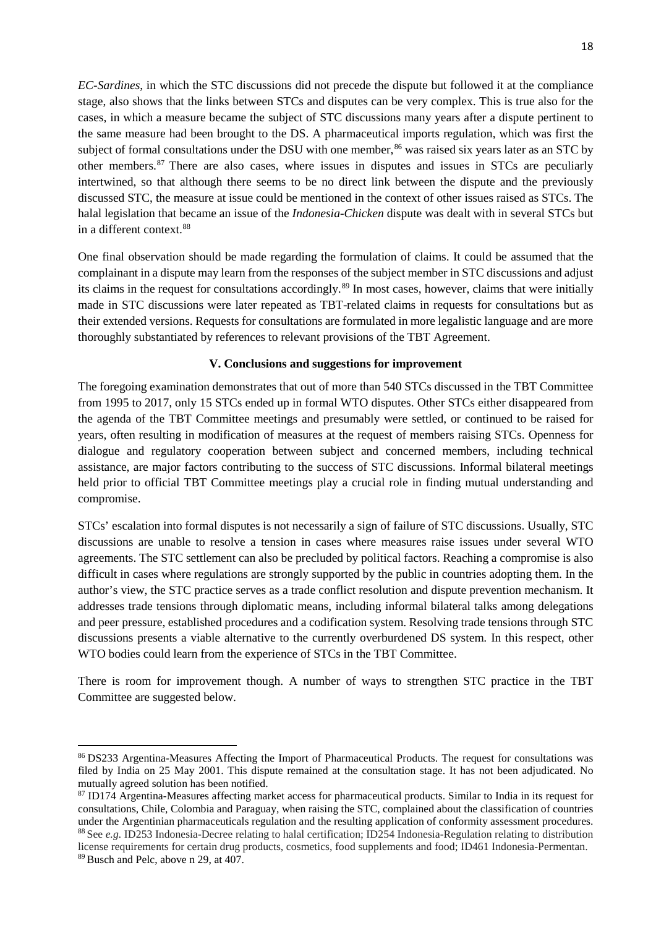*EC-Sardines*, in which the STC discussions did not precede the dispute but followed it at the compliance stage, also shows that the links between STCs and disputes can be very complex. This is true also for the cases, in which a measure became the subject of STC discussions many years after a dispute pertinent to the same measure had been brought to the DS. A pharmaceutical imports regulation, which was first the subject of formal consultations under the DSU with one member,<sup>[86](#page-18-0)</sup> was raised six years later as an STC by other members.<sup>[87](#page-18-1)</sup> There are also cases, where issues in disputes and issues in STCs are peculiarly intertwined, so that although there seems to be no direct link between the dispute and the previously discussed STC, the measure at issue could be mentioned in the context of other issues raised as STCs. The halal legislation that became an issue of the *Indonesia-Chicken* dispute was dealt with in several STCs but in a different context.[88](#page-18-2)

One final observation should be made regarding the formulation of claims. It could be assumed that the complainant in a dispute may learn from the responses of the subject member in STC discussions and adjust its claims in the request for consultations accordingly.[89](#page-18-3) In most cases, however, claims that were initially made in STC discussions were later repeated as TBT-related claims in requests for consultations but as their extended versions. Requests for consultations are formulated in more legalistic language and are more thoroughly substantiated by references to relevant provisions of the TBT Agreement.

## **V. Conclusions and suggestions for improvement**

The foregoing examination demonstrates that out of more than 540 STCs discussed in the TBT Committee from 1995 to 2017, only 15 STCs ended up in formal WTO disputes. Other STCs either disappeared from the agenda of the TBT Committee meetings and presumably were settled, or continued to be raised for years, often resulting in modification of measures at the request of members raising STCs. Openness for dialogue and regulatory cooperation between subject and concerned members, including technical assistance, are major factors contributing to the success of STC discussions. Informal bilateral meetings held prior to official TBT Committee meetings play a crucial role in finding mutual understanding and compromise.

STCs' escalation into formal disputes is not necessarily a sign of failure of STC discussions. Usually, STC discussions are unable to resolve a tension in cases where measures raise issues under several WTO agreements. The STC settlement can also be precluded by political factors. Reaching a compromise is also difficult in cases where regulations are strongly supported by the public in countries adopting them. In the author's view, the STC practice serves as a trade conflict resolution and dispute prevention mechanism. It addresses trade tensions through diplomatic means, including informal bilateral talks among delegations and peer pressure, established procedures and a codification system. Resolving trade tensions through STC discussions presents a viable alternative to the currently overburdened DS system. In this respect, other WTO bodies could learn from the experience of STCs in the TBT Committee.

There is room for improvement though. A number of ways to strengthen STC practice in the TBT Committee are suggested below.

<span id="page-18-0"></span><sup>86</sup> DS233 Argentina-Measures Affecting the Import of Pharmaceutical Products. The request for consultations was filed by India on 25 May 2001. This dispute remained at the consultation stage. It has not been adjudicated. No mutually agreed solution has been notified.

<span id="page-18-3"></span><span id="page-18-2"></span><span id="page-18-1"></span><sup>87</sup> ID174 Argentina-Measures affecting market access for pharmaceutical products. Similar to India in its request for consultations, Chile, Colombia and Paraguay, when raising the STC, complained about the classification of countries under the Argentinian pharmaceuticals regulation and the resulting application of conformity assessment procedures.<br><sup>88</sup> See  $e.g.$  ID253 Indonesia-Decree relating to halal certification; ID254 Indonesia-Regulation relatin license requirements for certain drug products, cosmetics, food supplements and food; ID461 Indonesia-Permentan. <sup>89</sup> Busch and Pelc, above n 29, at 407.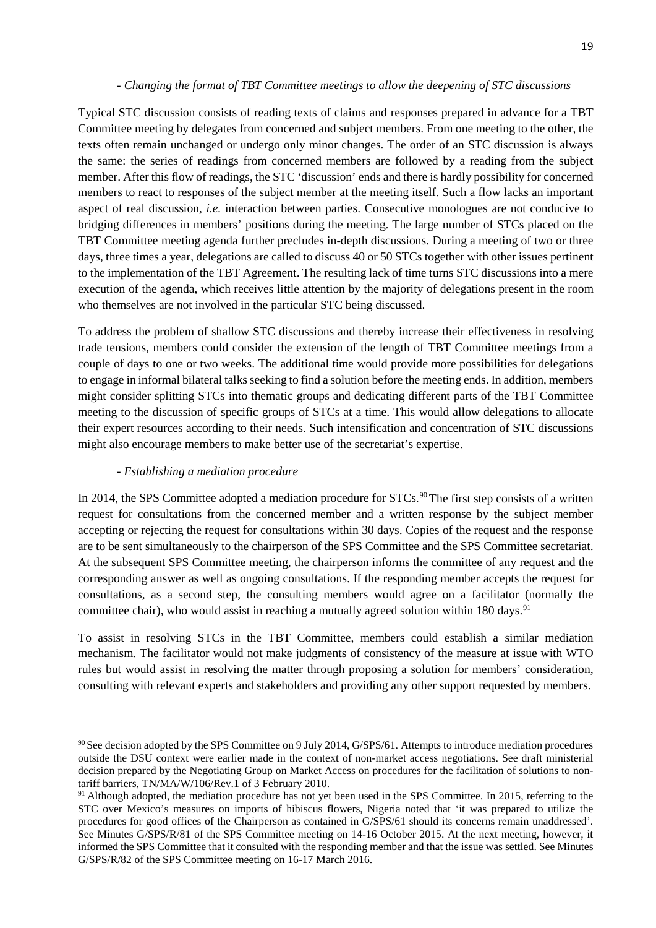### *- Changing the format of TBT Committee meetings to allow the deepening of STC discussions*

Typical STC discussion consists of reading texts of claims and responses prepared in advance for a TBT Committee meeting by delegates from concerned and subject members. From one meeting to the other, the texts often remain unchanged or undergo only minor changes. The order of an STC discussion is always the same: the series of readings from concerned members are followed by a reading from the subject member. After this flow of readings, the STC 'discussion' ends and there is hardly possibility for concerned members to react to responses of the subject member at the meeting itself. Such a flow lacks an important aspect of real discussion, *i.e.* interaction between parties. Consecutive monologues are not conducive to bridging differences in members' positions during the meeting. The large number of STCs placed on the TBT Committee meeting agenda further precludes in-depth discussions. During a meeting of two or three days, three times a year, delegations are called to discuss 40 or 50 STCs together with other issues pertinent to the implementation of the TBT Agreement. The resulting lack of time turns STC discussions into a mere execution of the agenda, which receives little attention by the majority of delegations present in the room who themselves are not involved in the particular STC being discussed.

To address the problem of shallow STC discussions and thereby increase their effectiveness in resolving trade tensions, members could consider the extension of the length of TBT Committee meetings from a couple of days to one or two weeks. The additional time would provide more possibilities for delegations to engage in informal bilateral talks seeking to find a solution before the meeting ends. In addition, members might consider splitting STCs into thematic groups and dedicating different parts of the TBT Committee meeting to the discussion of specific groups of STCs at a time. This would allow delegations to allocate their expert resources according to their needs. Such intensification and concentration of STC discussions might also encourage members to make better use of the secretariat's expertise.

## *- Establishing a mediation procedure*

 $\overline{a}$ 

In 2014, the SPS Committee adopted a mediation procedure for STCs.<sup>[90](#page-19-0)</sup> The first step consists of a written request for consultations from the concerned member and a written response by the subject member accepting or rejecting the request for consultations within 30 days. Copies of the request and the response are to be sent simultaneously to the chairperson of the SPS Committee and the SPS Committee secretariat. At the subsequent SPS Committee meeting, the chairperson informs the committee of any request and the corresponding answer as well as ongoing consultations. If the responding member accepts the request for consultations, as a second step, the consulting members would agree on a facilitator (normally the committee chair), who would assist in reaching a mutually agreed solution within 180 days.<sup>[91](#page-19-1)</sup>

To assist in resolving STCs in the TBT Committee, members could establish a similar mediation mechanism. The facilitator would not make judgments of consistency of the measure at issue with WTO rules but would assist in resolving the matter through proposing a solution for members' consideration, consulting with relevant experts and stakeholders and providing any other support requested by members.

<span id="page-19-0"></span><sup>&</sup>lt;sup>90</sup> See decision adopted by the SPS Committee on 9 July 2014, G/SPS/61. Attempts to introduce mediation procedures outside the DSU context were earlier made in the context of non-market access negotiations. See draft ministerial decision prepared by the Negotiating Group on Market Access on procedures for the facilitation of solutions to nontariff barriers, TN/MA/W/106/Rev.1 of 3 February 2010.

<span id="page-19-1"></span><sup>&</sup>lt;sup>91</sup> Although adopted, the mediation procedure has not yet been used in the SPS Committee. In 2015, referring to the STC over Mexico's measures on imports of hibiscus flowers, Nigeria noted that 'it was prepared to utilize the procedures for good offices of the Chairperson as contained in G/SPS/61 should its concerns remain unaddressed'. See Minutes G/SPS/R/81 of the SPS Committee meeting on 14-16 October 2015. At the next meeting, however, it informed the SPS Committee that it consulted with the responding member and that the issue was settled. See Minutes G/SPS/R/82 of the SPS Committee meeting on 16-17 March 2016.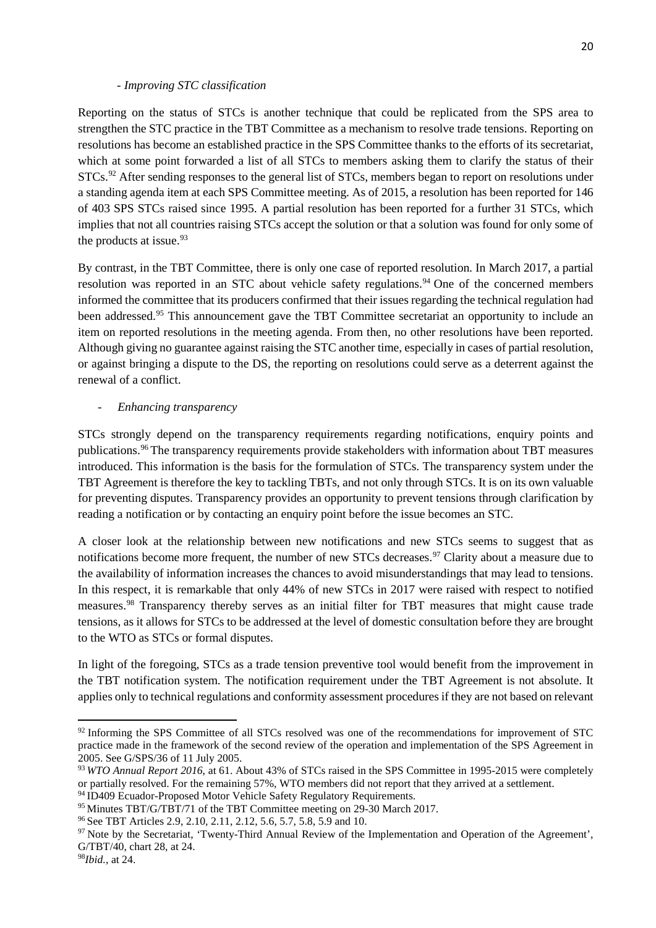#### *- Improving STC classification*

Reporting on the status of STCs is another technique that could be replicated from the SPS area to strengthen the STC practice in the TBT Committee as a mechanism to resolve trade tensions. Reporting on resolutions has become an established practice in the SPS Committee thanks to the efforts of its secretariat, which at some point forwarded a list of all STCs to members asking them to clarify the status of their STCs.<sup>[92](#page-20-0)</sup> After sending responses to the general list of STCs, members began to report on resolutions under a standing agenda item at each SPS Committee meeting. As of 2015, a resolution has been reported for 146 of 403 SPS STCs raised since 1995. A partial resolution has been reported for a further 31 STCs, which implies that not all countries raising STCs accept the solution or that a solution was found for only some of the products at issue.<sup>[93](#page-20-1)</sup>

By contrast, in the TBT Committee, there is only one case of reported resolution. In March 2017, a partial resolution was reported in an STC about vehicle safety regulations.<sup>[94](#page-20-2)</sup> One of the concerned members informed the committee that its producers confirmed that their issues regarding the technical regulation had been addressed.<sup>[95](#page-20-3)</sup> This announcement gave the TBT Committee secretariat an opportunity to include an item on reported resolutions in the meeting agenda. From then, no other resolutions have been reported. Although giving no guarantee against raising the STC another time, especially in cases of partial resolution, or against bringing a dispute to the DS, the reporting on resolutions could serve as a deterrent against the renewal of a conflict.

#### - *Enhancing transparency*

STCs strongly depend on the transparency requirements regarding notifications, enquiry points and publications.[96](#page-20-4) The transparency requirements provide stakeholders with information about TBT measures introduced. This information is the basis for the formulation of STCs. The transparency system under the TBT Agreement is therefore the key to tackling TBTs, and not only through STCs. It is on its own valuable for preventing disputes. Transparency provides an opportunity to prevent tensions through clarification by reading a notification or by contacting an enquiry point before the issue becomes an STC.

A closer look at the relationship between new notifications and new STCs seems to suggest that as notifications become more frequent, the number of new STCs decreases.<sup>[97](#page-20-5)</sup> Clarity about a measure due to the availability of information increases the chances to avoid misunderstandings that may lead to tensions. In this respect, it is remarkable that only 44% of new STCs in 2017 were raised with respect to notified measures.[98](#page-20-6) Transparency thereby serves as an initial filter for TBT measures that might cause trade tensions, as it allows for STCs to be addressed at the level of domestic consultation before they are brought to the WTO as STCs or formal disputes.

In light of the foregoing, STCs as a trade tension preventive tool would benefit from the improvement in the TBT notification system. The notification requirement under the TBT Agreement is not absolute. It applies only to technical regulations and conformity assessment procedures if they are not based on relevant

<span id="page-20-0"></span><sup>&</sup>lt;sup>92</sup> Informing the SPS Committee of all STCs resolved was one of the recommendations for improvement of STC practice made in the framework of the second review of the operation and implementation of the SPS Agreement in 2005. See G/SPS/36 of 11 July 2005.

<span id="page-20-1"></span><sup>93</sup> *WTO Annual Report 2016*, at 61. About 43% of STCs raised in the SPS Committee in 1995-2015 were completely or partially resolved. For the remaining 57%, WTO members did not report that they arrived at a settlement.

<span id="page-20-2"></span><sup>&</sup>lt;sup>94</sup> ID409 Ecuador-Proposed Motor Vehicle Safety Regulatory Requirements.

<span id="page-20-3"></span><sup>95</sup> Minutes TBT/G/TBT/71 of the TBT Committee meeting on 29-30 March 2017.

<span id="page-20-4"></span><sup>96</sup> See TBT Articles 2.9, 2.10, 2.11, 2.12, 5.6, 5.7, 5.8, 5.9 and 10.

<span id="page-20-5"></span><sup>&</sup>lt;sup>97</sup> Note by the Secretariat, 'Twenty-Third Annual Review of the Implementation and Operation of the Agreement', G/TBT/40, chart 28, at 24.

<span id="page-20-6"></span><sup>98</sup>*Ibid.*, at 24.